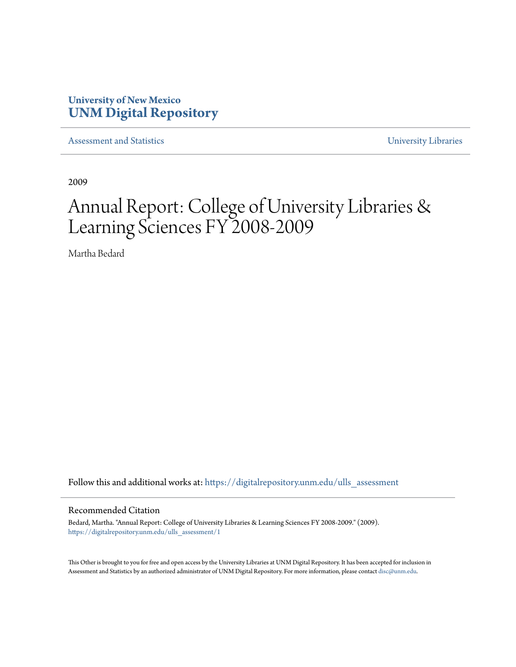# **University of New Mexico [UNM Digital Repository](https://digitalrepository.unm.edu?utm_source=digitalrepository.unm.edu%2Fulls_assessment%2F1&utm_medium=PDF&utm_campaign=PDFCoverPages)**

[Assessment and Statistics](https://digitalrepository.unm.edu/ulls_assessment?utm_source=digitalrepository.unm.edu%2Fulls_assessment%2F1&utm_medium=PDF&utm_campaign=PDFCoverPages) [University Libraries](https://digitalrepository.unm.edu/libraries?utm_source=digitalrepository.unm.edu%2Fulls_assessment%2F1&utm_medium=PDF&utm_campaign=PDFCoverPages)

2009

# Annual Report: College of University Libraries & Learning Sciences FY 2008-2009

Martha Bedard

Follow this and additional works at: [https://digitalrepository.unm.edu/ulls\\_assessment](https://digitalrepository.unm.edu/ulls_assessment?utm_source=digitalrepository.unm.edu%2Fulls_assessment%2F1&utm_medium=PDF&utm_campaign=PDFCoverPages)

#### Recommended Citation

Bedard, Martha. "Annual Report: College of University Libraries & Learning Sciences FY 2008-2009." (2009). [https://digitalrepository.unm.edu/ulls\\_assessment/1](https://digitalrepository.unm.edu/ulls_assessment/1?utm_source=digitalrepository.unm.edu%2Fulls_assessment%2F1&utm_medium=PDF&utm_campaign=PDFCoverPages)

This Other is brought to you for free and open access by the University Libraries at UNM Digital Repository. It has been accepted for inclusion in Assessment and Statistics by an authorized administrator of UNM Digital Repository. For more information, please contact [disc@unm.edu](mailto:disc@unm.edu).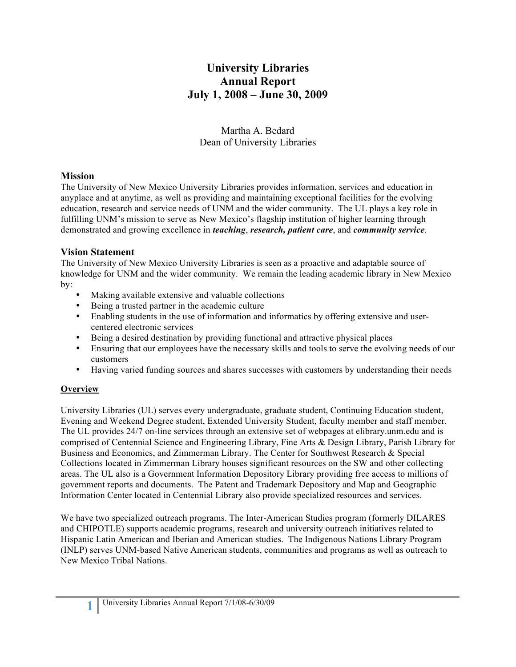# **University Libraries Annual Report July 1, 2008 – June 30, 2009**

Martha A. Bedard Dean of University Libraries

#### **Mission**

The University of New Mexico University Libraries provides information, services and education in anyplace and at anytime, as well as providing and maintaining exceptional facilities for the evolving education, research and service needs of UNM and the wider community. The UL plays a key role in fulfilling UNM's mission to serve as New Mexico's flagship institution of higher learning through demonstrated and growing excellence in *teaching*, *research, patient care*, and *community service*.

#### **Vision Statement**

The University of New Mexico University Libraries is seen as a proactive and adaptable source of knowledge for UNM and the wider community. We remain the leading academic library in New Mexico by:

- Making available extensive and valuable collections
- Being a trusted partner in the academic culture
- Enabling students in the use of information and informatics by offering extensive and usercentered electronic services
- Being a desired destination by providing functional and attractive physical places
- Ensuring that our employees have the necessary skills and tools to serve the evolving needs of our customers
- Having varied funding sources and shares successes with customers by understanding their needs

#### **Overview**

University Libraries (UL) serves every undergraduate, graduate student, Continuing Education student, Evening and Weekend Degree student, Extended University Student, faculty member and staff member. The UL provides 24/7 on-line services through an extensive set of webpages at elibrary.unm.edu and is comprised of Centennial Science and Engineering Library, Fine Arts & Design Library, Parish Library for Business and Economics, and Zimmerman Library. The Center for Southwest Research & Special Collections located in Zimmerman Library houses significant resources on the SW and other collecting areas. The UL also is a Government Information Depository Library providing free access to millions of government reports and documents. The Patent and Trademark Depository and Map and Geographic Information Center located in Centennial Library also provide specialized resources and services.

We have two specialized outreach programs. The Inter-American Studies program (formerly DILARES and CHIPOTLE) supports academic programs, research and university outreach initiatives related to Hispanic Latin American and Iberian and American studies. The Indigenous Nations Library Program (INLP) serves UNM-based Native American students, communities and programs as well as outreach to New Mexico Tribal Nations.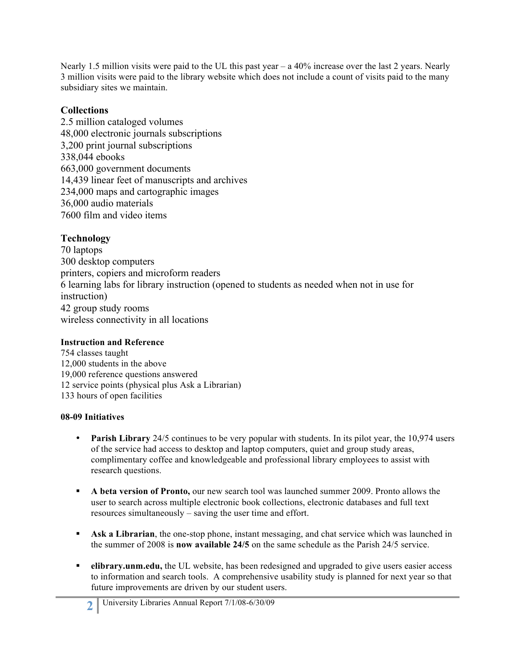Nearly 1.5 million visits were paid to the UL this past year – a 40% increase over the last 2 years. Nearly 3 million visits were paid to the library website which does not include a count of visits paid to the many subsidiary sites we maintain.

#### **Collections**

2.5 million cataloged volumes 48,000 electronic journals subscriptions 3,200 print journal subscriptions 338,044 ebooks 663,000 government documents 14,439 linear feet of manuscripts and archives 234,000 maps and cartographic images 36,000 audio materials 7600 film and video items

# **Technology**

70 laptops 300 desktop computers printers, copiers and microform readers 6 learning labs for library instruction (opened to students as needed when not in use for instruction) 42 group study rooms wireless connectivity in all locations

#### **Instruction and Reference**

754 classes taught 12,000 students in the above 19,000 reference questions answered 12 service points (physical plus Ask a Librarian) 133 hours of open facilities

# **08-09 Initiatives**

- **Parish Library** 24/5 continues to be very popular with students. In its pilot year, the 10,974 users of the service had access to desktop and laptop computers, quiet and group study areas, complimentary coffee and knowledgeable and professional library employees to assist with research questions.
- **A beta version of Pronto,** our new search tool was launched summer 2009. Pronto allows the user to search across multiple electronic book collections, electronic databases and full text resources simultaneously – saving the user time and effort.
- **Ask a Librarian**, the one-stop phone, instant messaging, and chat service which was launched in the summer of 2008 is **now available 24/5** on the same schedule as the Parish 24/5 service.
- **elibrary.unm.edu,** the UL website, has been redesigned and upgraded to give users easier access to information and search tools. A comprehensive usability study is planned for next year so that future improvements are driven by our student users.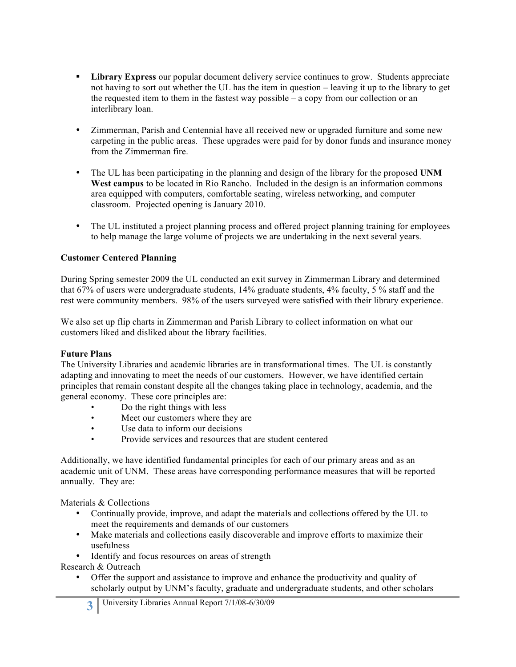- **Library Express** our popular document delivery service continues to grow. Students appreciate not having to sort out whether the UL has the item in question – leaving it up to the library to get the requested item to them in the fastest way possible – a copy from our collection or an interlibrary loan.
- Zimmerman, Parish and Centennial have all received new or upgraded furniture and some new carpeting in the public areas. These upgrades were paid for by donor funds and insurance money from the Zimmerman fire.
- The UL has been participating in the planning and design of the library for the proposed **UNM West campus** to be located in Rio Rancho. Included in the design is an information commons area equipped with computers, comfortable seating, wireless networking, and computer classroom. Projected opening is January 2010.
- The UL instituted a project planning process and offered project planning training for employees to help manage the large volume of projects we are undertaking in the next several years.

#### **Customer Centered Planning**

During Spring semester 2009 the UL conducted an exit survey in Zimmerman Library and determined that 67% of users were undergraduate students, 14% graduate students, 4% faculty, 5 % staff and the rest were community members. 98% of the users surveyed were satisfied with their library experience.

We also set up flip charts in Zimmerman and Parish Library to collect information on what our customers liked and disliked about the library facilities.

#### **Future Plans**

The University Libraries and academic libraries are in transformational times. The UL is constantly adapting and innovating to meet the needs of our customers. However, we have identified certain principles that remain constant despite all the changes taking place in technology, academia, and the general economy. These core principles are:

- Do the right things with less
- Meet our customers where they are
- Use data to inform our decisions
- Provide services and resources that are student centered

Additionally, we have identified fundamental principles for each of our primary areas and as an academic unit of UNM. These areas have corresponding performance measures that will be reported annually. They are:

Materials & Collections

- Continually provide, improve, and adapt the materials and collections offered by the UL to meet the requirements and demands of our customers
- Make materials and collections easily discoverable and improve efforts to maximize their usefulness
- Identify and focus resources on areas of strength

Research & Outreach

• Offer the support and assistance to improve and enhance the productivity and quality of scholarly output by UNM's faculty, graduate and undergraduate students, and other scholars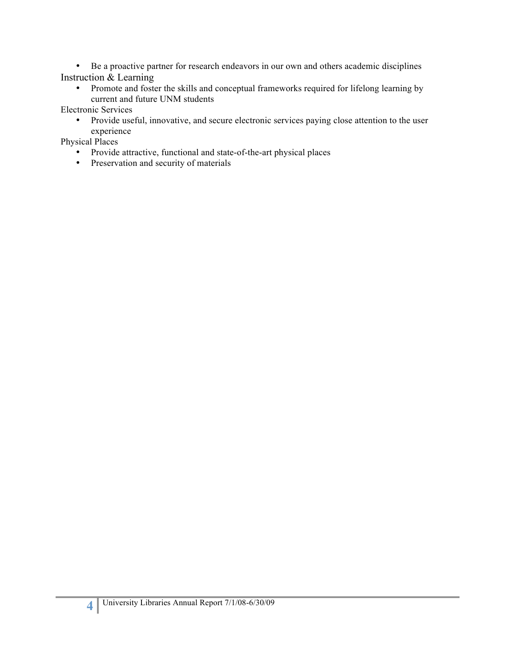• Be a proactive partner for research endeavors in our own and others academic disciplines Instruction & Learning

• Promote and foster the skills and conceptual frameworks required for lifelong learning by current and future UNM students

Electronic Services

• Provide useful, innovative, and secure electronic services paying close attention to the user experience

Physical Places

- Provide attractive, functional and state-of-the-art physical places
- Preservation and security of materials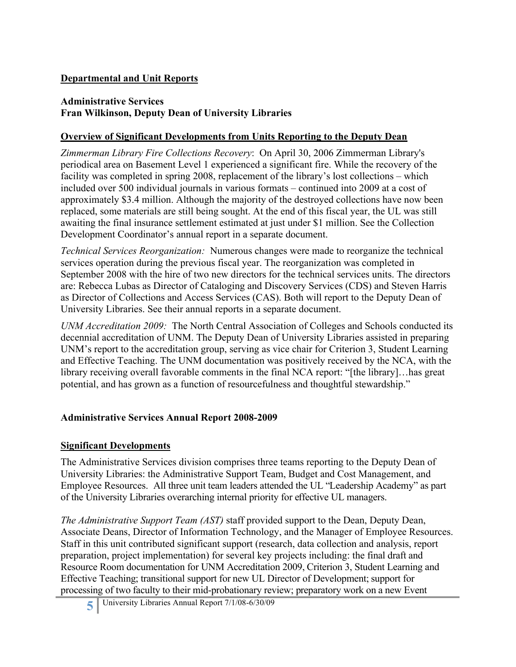# **Departmental and Unit Reports**

#### **Administrative Services Fran Wilkinson, Deputy Dean of University Libraries**

### **Overview of Significant Developments from Units Reporting to the Deputy Dean**

*Zimmerman Library Fire Collections Recovery*: On April 30, 2006 Zimmerman Library's periodical area on Basement Level 1 experienced a significant fire. While the recovery of the facility was completed in spring 2008, replacement of the library's lost collections – which included over 500 individual journals in various formats – continued into 2009 at a cost of approximately \$3.4 million. Although the majority of the destroyed collections have now been replaced, some materials are still being sought. At the end of this fiscal year, the UL was still awaiting the final insurance settlement estimated at just under \$1 million. See the Collection Development Coordinator's annual report in a separate document.

*Technical Services Reorganization:* Numerous changes were made to reorganize the technical services operation during the previous fiscal year. The reorganization was completed in September 2008 with the hire of two new directors for the technical services units. The directors are: Rebecca Lubas as Director of Cataloging and Discovery Services (CDS) and Steven Harris as Director of Collections and Access Services (CAS). Both will report to the Deputy Dean of University Libraries. See their annual reports in a separate document.

*UNM Accreditation 2009:* The North Central Association of Colleges and Schools conducted its decennial accreditation of UNM. The Deputy Dean of University Libraries assisted in preparing UNM's report to the accreditation group, serving as vice chair for Criterion 3, Student Learning and Effective Teaching. The UNM documentation was positively received by the NCA, with the library receiving overall favorable comments in the final NCA report: "[the library]…has great potential, and has grown as a function of resourcefulness and thoughtful stewardship."

#### **Administrative Services Annual Report 2008-2009**

#### **Significant Developments**

The Administrative Services division comprises three teams reporting to the Deputy Dean of University Libraries: the Administrative Support Team, Budget and Cost Management, and Employee Resources. All three unit team leaders attended the UL "Leadership Academy" as part of the University Libraries overarching internal priority for effective UL managers.

*The Administrative Support Team (AST)* staff provided support to the Dean, Deputy Dean, Associate Deans, Director of Information Technology, and the Manager of Employee Resources. Staff in this unit contributed significant support (research, data collection and analysis, report preparation, project implementation) for several key projects including: the final draft and Resource Room documentation for UNM Accreditation 2009, Criterion 3, Student Learning and Effective Teaching; transitional support for new UL Director of Development; support for processing of two faculty to their mid-probationary review; preparatory work on a new Event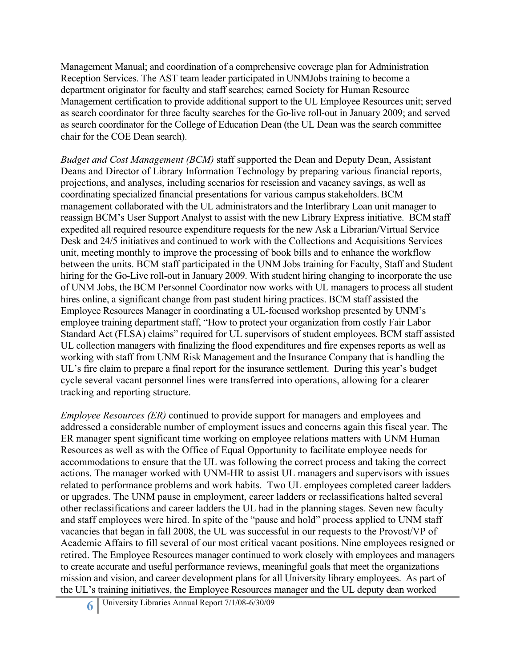Management Manual; and coordination of a comprehensive coverage plan for Administration Reception Services. The AST team leader participated in UNMJobs training to become a department originator for faculty and staff searches; earned Society for Human Resource Management certification to provide additional support to the UL Employee Resources unit; served as search coordinator for three faculty searches for the Go-live roll-out in January 2009; and served as search coordinator for the College of Education Dean (the UL Dean was the search committee chair for the COE Dean search).

*Budget and Cost Management (BCM)* staff supported the Dean and Deputy Dean, Assistant Deans and Director of Library Information Technology by preparing various financial reports, projections, and analyses, including scenarios for rescission and vacancy savings, as well as coordinating specialized financial presentations for various campus stakeholders. BCM management collaborated with the UL administrators and the Interlibrary Loan unit manager to reassign BCM's User Support Analyst to assist with the new Library Express initiative. BCM staff expedited all required resource expenditure requests for the new Ask a Librarian/Virtual Service Desk and 24/5 initiatives and continued to work with the Collections and Acquisitions Services unit, meeting monthly to improve the processing of book bills and to enhance the workflow between the units. BCM staff participated in the UNM Jobs training for Faculty, Staff and Student hiring for the Go-Live roll-out in January 2009. With student hiring changing to incorporate the use of UNM Jobs, the BCM Personnel Coordinator now works with UL managers to process all student hires online, a significant change from past student hiring practices. BCM staff assisted the Employee Resources Manager in coordinating a UL-focused workshop presented by UNM's employee training department staff, "How to protect your organization from costly Fair Labor Standard Act (FLSA) claims" required for UL supervisors of student employees. BCM staff assisted UL collection managers with finalizing the flood expenditures and fire expenses reports as well as working with staff from UNM Risk Management and the Insurance Company that is handling the UL's fire claim to prepare a final report for the insurance settlement. During this year's budget cycle several vacant personnel lines were transferred into operations, allowing for a clearer tracking and reporting structure.

*Employee Resources (ER)* continued to provide support for managers and employees and addressed a considerable number of employment issues and concerns again this fiscal year. The ER manager spent significant time working on employee relations matters with UNM Human Resources as well as with the Office of Equal Opportunity to facilitate employee needs for accommodations to ensure that the UL was following the correct process and taking the correct actions. The manager worked with UNM-HR to assist UL managers and supervisors with issues related to performance problems and work habits. Two UL employees completed career ladders or upgrades. The UNM pause in employment, career ladders or reclassifications halted several other reclassifications and career ladders the UL had in the planning stages. Seven new faculty and staff employees were hired. In spite of the "pause and hold" process applied to UNM staff vacancies that began in fall 2008, the UL was successful in our requests to the Provost/VP of Academic Affairs to fill several of our most critical vacant positions. Nine employees resigned or retired. The Employee Resources manager continued to work closely with employees and managers to create accurate and useful performance reviews, meaningful goals that meet the organizations mission and vision, and career development plans for all University library employees. As part of the UL's training initiatives, the Employee Resources manager and the UL deputy dean worked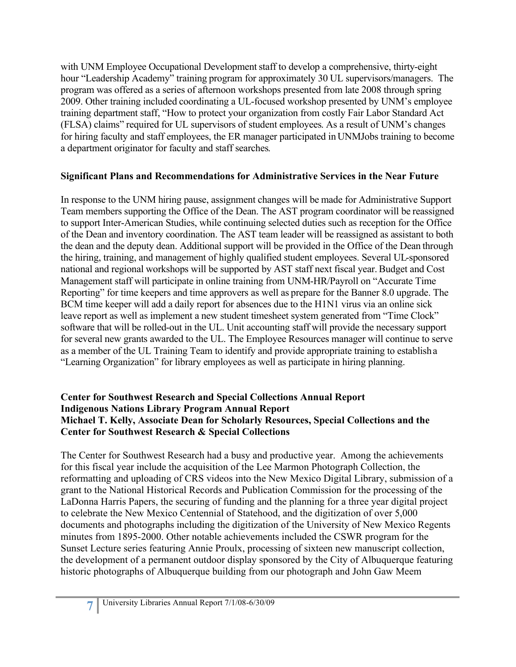with UNM Employee Occupational Development staff to develop a comprehensive, thirty-eight hour "Leadership Academy" training program for approximately 30 UL supervisors/managers. The program was offered as a series of afternoon workshops presented from late 2008 through spring 2009. Other training included coordinating a UL-focused workshop presented by UNM's employee training department staff, "How to protect your organization from costly Fair Labor Standard Act (FLSA) claims" required for UL supervisors of student employees. As a result of UNM's changes for hiring faculty and staff employees, the ER manager participated in UNMJobs training to become a department originator for faculty and staff searches.

# **Significant Plans and Recommendations for Administrative Services in the Near Future**

In response to the UNM hiring pause, assignment changes will be made for Administrative Support Team members supporting the Office of the Dean. The AST program coordinator will be reassigned to support Inter-American Studies, while continuing selected duties such as reception for the Office of the Dean and inventory coordination. The AST team leader will be reassigned as assistant to both the dean and the deputy dean. Additional support will be provided in the Office of the Dean through the hiring, training, and management of highly qualified student employees. Several UL-sponsored national and regional workshops will be supported by AST staff next fiscal year. Budget and Cost Management staff will participate in online training from UNM-HR/Payroll on "Accurate Time Reporting" for time keepers and time approvers as well as prepare for the Banner 8.0 upgrade. The BCM time keeper will add a daily report for absences due to the H1N1 virus via an online sick leave report as well as implement a new student timesheet system generated from "Time Clock" software that will be rolled-out in the UL. Unit accounting staff will provide the necessary support for several new grants awarded to the UL. The Employee Resources manager will continue to serve as a member of the UL Training Team to identify and provide appropriate training to establisha "Learning Organization" for library employees as well as participate in hiring planning.

### **Center for Southwest Research and Special Collections Annual Report Indigenous Nations Library Program Annual Report Michael T. Kelly, Associate Dean for Scholarly Resources, Special Collections and the Center for Southwest Research & Special Collections**

The Center for Southwest Research had a busy and productive year. Among the achievements for this fiscal year include the acquisition of the Lee Marmon Photograph Collection, the reformatting and uploading of CRS videos into the New Mexico Digital Library, submission of a grant to the National Historical Records and Publication Commission for the processing of the LaDonna Harris Papers, the securing of funding and the planning for a three year digital project to celebrate the New Mexico Centennial of Statehood, and the digitization of over 5,000 documents and photographs including the digitization of the University of New Mexico Regents minutes from 1895-2000. Other notable achievements included the CSWR program for the Sunset Lecture series featuring Annie Proulx, processing of sixteen new manuscript collection, the development of a permanent outdoor display sponsored by the City of Albuquerque featuring historic photographs of Albuquerque building from our photograph and John Gaw Meem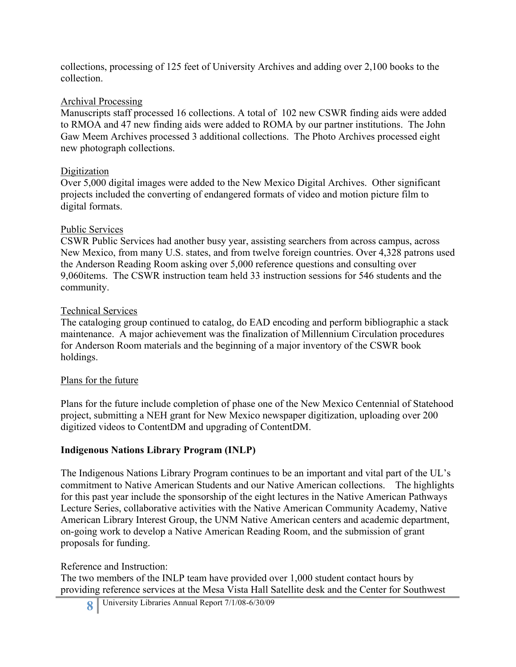collections, processing of 125 feet of University Archives and adding over 2,100 books to the collection.

### Archival Processing

Manuscripts staff processed 16 collections. A total of 102 new CSWR finding aids were added to RMOA and 47 new finding aids were added to ROMA by our partner institutions. The John Gaw Meem Archives processed 3 additional collections. The Photo Archives processed eight new photograph collections.

# Digitization

Over 5,000 digital images were added to the New Mexico Digital Archives. Other significant projects included the converting of endangered formats of video and motion picture film to digital formats.

### Public Services

CSWR Public Services had another busy year, assisting searchers from across campus, across New Mexico, from many U.S. states, and from twelve foreign countries. Over 4,328 patrons used the Anderson Reading Room asking over 5,000 reference questions and consulting over 9,060items. The CSWR instruction team held 33 instruction sessions for 546 students and the community.

### Technical Services

The cataloging group continued to catalog, do EAD encoding and perform bibliographic a stack maintenance. A major achievement was the finalization of Millennium Circulation procedures for Anderson Room materials and the beginning of a major inventory of the CSWR book holdings.

# Plans for the future

Plans for the future include completion of phase one of the New Mexico Centennial of Statehood project, submitting a NEH grant for New Mexico newspaper digitization, uploading over 200 digitized videos to ContentDM and upgrading of ContentDM.

# **Indigenous Nations Library Program (INLP)**

The Indigenous Nations Library Program continues to be an important and vital part of the UL's commitment to Native American Students and our Native American collections. The highlights for this past year include the sponsorship of the eight lectures in the Native American Pathways Lecture Series, collaborative activities with the Native American Community Academy, Native American Library Interest Group, the UNM Native American centers and academic department, on-going work to develop a Native American Reading Room, and the submission of grant proposals for funding.

#### Reference and Instruction:

The two members of the INLP team have provided over 1,000 student contact hours by providing reference services at the Mesa Vista Hall Satellite desk and the Center for Southwest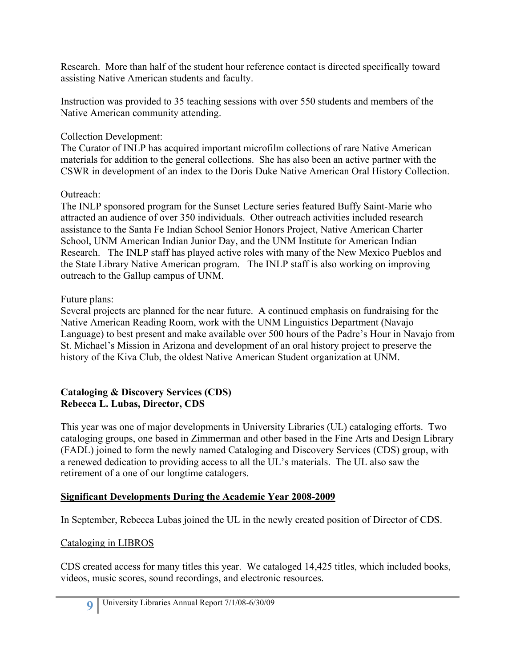Research. More than half of the student hour reference contact is directed specifically toward assisting Native American students and faculty.

Instruction was provided to 35 teaching sessions with over 550 students and members of the Native American community attending.

# Collection Development:

The Curator of INLP has acquired important microfilm collections of rare Native American materials for addition to the general collections. She has also been an active partner with the CSWR in development of an index to the Doris Duke Native American Oral History Collection.

# Outreach:

The INLP sponsored program for the Sunset Lecture series featured Buffy Saint-Marie who attracted an audience of over 350 individuals. Other outreach activities included research assistance to the Santa Fe Indian School Senior Honors Project, Native American Charter School, UNM American Indian Junior Day, and the UNM Institute for American Indian Research. The INLP staff has played active roles with many of the New Mexico Pueblos and the State Library Native American program. The INLP staff is also working on improving outreach to the Gallup campus of UNM.

# Future plans:

Several projects are planned for the near future. A continued emphasis on fundraising for the Native American Reading Room, work with the UNM Linguistics Department (Navajo Language) to best present and make available over 500 hours of the Padre's Hour in Navajo from St. Michael's Mission in Arizona and development of an oral history project to preserve the history of the Kiva Club, the oldest Native American Student organization at UNM.

# **Cataloging & Discovery Services (CDS) Rebecca L. Lubas, Director, CDS**

This year was one of major developments in University Libraries (UL) cataloging efforts. Two cataloging groups, one based in Zimmerman and other based in the Fine Arts and Design Library (FADL) joined to form the newly named Cataloging and Discovery Services (CDS) group, with a renewed dedication to providing access to all the UL's materials. The UL also saw the retirement of a one of our longtime catalogers.

# **Significant Developments During the Academic Year 2008-2009**

In September, Rebecca Lubas joined the UL in the newly created position of Director of CDS.

# Cataloging in LIBROS

CDS created access for many titles this year. We cataloged 14,425 titles, which included books, videos, music scores, sound recordings, and electronic resources.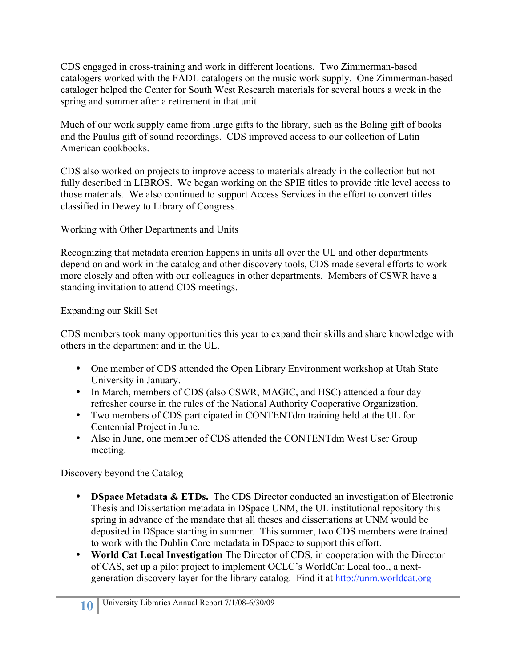CDS engaged in cross-training and work in different locations. Two Zimmerman-based catalogers worked with the FADL catalogers on the music work supply. One Zimmerman-based cataloger helped the Center for South West Research materials for several hours a week in the spring and summer after a retirement in that unit.

Much of our work supply came from large gifts to the library, such as the Boling gift of books and the Paulus gift of sound recordings. CDS improved access to our collection of Latin American cookbooks.

CDS also worked on projects to improve access to materials already in the collection but not fully described in LIBROS. We began working on the SPIE titles to provide title level access to those materials. We also continued to support Access Services in the effort to convert titles classified in Dewey to Library of Congress.

# Working with Other Departments and Units

Recognizing that metadata creation happens in units all over the UL and other departments depend on and work in the catalog and other discovery tools, CDS made several efforts to work more closely and often with our colleagues in other departments. Members of CSWR have a standing invitation to attend CDS meetings.

# Expanding our Skill Set

CDS members took many opportunities this year to expand their skills and share knowledge with others in the department and in the UL.

- One member of CDS attended the Open Library Environment workshop at Utah State University in January.
- In March, members of CDS (also CSWR, MAGIC, and HSC) attended a four day refresher course in the rules of the National Authority Cooperative Organization.
- Two members of CDS participated in CONTENTdm training held at the UL for Centennial Project in June.
- Also in June, one member of CDS attended the CONTENTdm West User Group meeting.

# Discovery beyond the Catalog

- **DSpace Metadata & ETDs.** The CDS Director conducted an investigation of Electronic Thesis and Dissertation metadata in DSpace UNM, the UL institutional repository this spring in advance of the mandate that all theses and dissertations at UNM would be deposited in DSpace starting in summer. This summer, two CDS members were trained to work with the Dublin Core metadata in DSpace to support this effort.
- **World Cat Local Investigation** The Director of CDS, in cooperation with the Director of CAS, set up a pilot project to implement OCLC's WorldCat Local tool, a nextgeneration discovery layer for the library catalog. Find it at http://unm.worldcat.org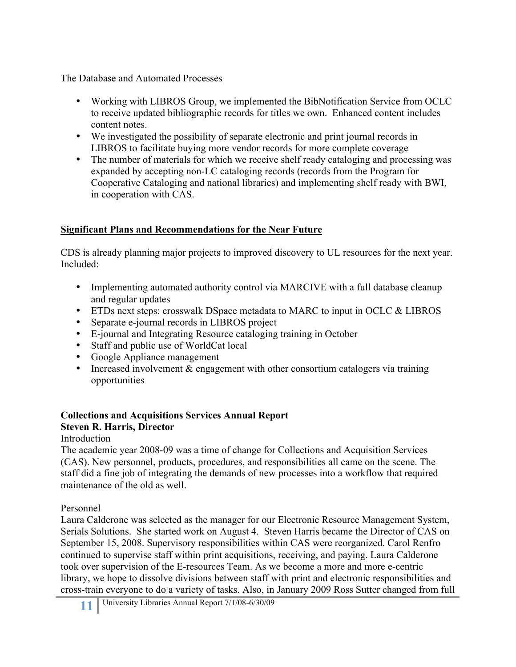### The Database and Automated Processes

- Working with LIBROS Group, we implemented the BibNotification Service from OCLC to receive updated bibliographic records for titles we own. Enhanced content includes content notes.
- We investigated the possibility of separate electronic and print journal records in LIBROS to facilitate buying more vendor records for more complete coverage
- The number of materials for which we receive shelf ready cataloging and processing was expanded by accepting non-LC cataloging records (records from the Program for Cooperative Cataloging and national libraries) and implementing shelf ready with BWI, in cooperation with CAS.

# **Significant Plans and Recommendations for the Near Future**

CDS is already planning major projects to improved discovery to UL resources for the next year. Included:

- Implementing automated authority control via MARCIVE with a full database cleanup and regular updates
- ETDs next steps: crosswalk DSpace metadata to MARC to input in OCLC & LIBROS
- Separate e-journal records in LIBROS project
- E-journal and Integrating Resource cataloging training in October
- Staff and public use of WorldCat local
- Google Appliance management
- Increased involvement & engagement with other consortium catalogers via training opportunities

#### **Collections and Acquisitions Services Annual Report Steven R. Harris, Director**

Introduction

The academic year 2008-09 was a time of change for Collections and Acquisition Services (CAS). New personnel, products, procedures, and responsibilities all came on the scene. The staff did a fine job of integrating the demands of new processes into a workflow that required maintenance of the old as well.

Personnel

Laura Calderone was selected as the manager for our Electronic Resource Management System, Serials Solutions. She started work on August 4. Steven Harris became the Director of CAS on September 15, 2008. Supervisory responsibilities within CAS were reorganized. Carol Renfro continued to supervise staff within print acquisitions, receiving, and paying. Laura Calderone took over supervision of the E-resources Team. As we become a more and more e-centric library, we hope to dissolve divisions between staff with print and electronic responsibilities and cross-train everyone to do a variety of tasks. Also, in January 2009 Ross Sutter changed from full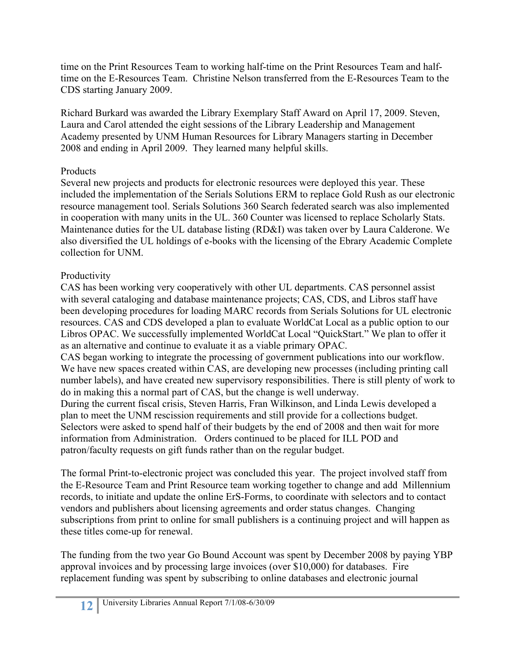time on the Print Resources Team to working half-time on the Print Resources Team and halftime on the E-Resources Team. Christine Nelson transferred from the E-Resources Team to the CDS starting January 2009.

Richard Burkard was awarded the Library Exemplary Staff Award on April 17, 2009. Steven, Laura and Carol attended the eight sessions of the Library Leadership and Management Academy presented by UNM Human Resources for Library Managers starting in December 2008 and ending in April 2009. They learned many helpful skills.

# **Products**

Several new projects and products for electronic resources were deployed this year. These included the implementation of the Serials Solutions ERM to replace Gold Rush as our electronic resource management tool. Serials Solutions 360 Search federated search was also implemented in cooperation with many units in the UL. 360 Counter was licensed to replace Scholarly Stats. Maintenance duties for the UL database listing (RD&I) was taken over by Laura Calderone. We also diversified the UL holdings of e-books with the licensing of the Ebrary Academic Complete collection for UNM.

# Productivity

CAS has been working very cooperatively with other UL departments. CAS personnel assist with several cataloging and database maintenance projects; CAS, CDS, and Libros staff have been developing procedures for loading MARC records from Serials Solutions for UL electronic resources. CAS and CDS developed a plan to evaluate WorldCat Local as a public option to our Libros OPAC. We successfully implemented WorldCat Local "QuickStart." We plan to offer it as an alternative and continue to evaluate it as a viable primary OPAC.

CAS began working to integrate the processing of government publications into our workflow. We have new spaces created within CAS, are developing new processes (including printing call number labels), and have created new supervisory responsibilities. There is still plenty of work to do in making this a normal part of CAS, but the change is well underway.

During the current fiscal crisis, Steven Harris, Fran Wilkinson, and Linda Lewis developed a plan to meet the UNM rescission requirements and still provide for a collections budget. Selectors were asked to spend half of their budgets by the end of 2008 and then wait for more information from Administration. Orders continued to be placed for ILL POD and patron/faculty requests on gift funds rather than on the regular budget.

The formal Print-to-electronic project was concluded this year. The project involved staff from the E-Resource Team and Print Resource team working together to change and add Millennium records, to initiate and update the online ErS-Forms, to coordinate with selectors and to contact vendors and publishers about licensing agreements and order status changes. Changing subscriptions from print to online for small publishers is a continuing project and will happen as these titles come-up for renewal.

The funding from the two year Go Bound Account was spent by December 2008 by paying YBP approval invoices and by processing large invoices (over \$10,000) for databases. Fire replacement funding was spent by subscribing to online databases and electronic journal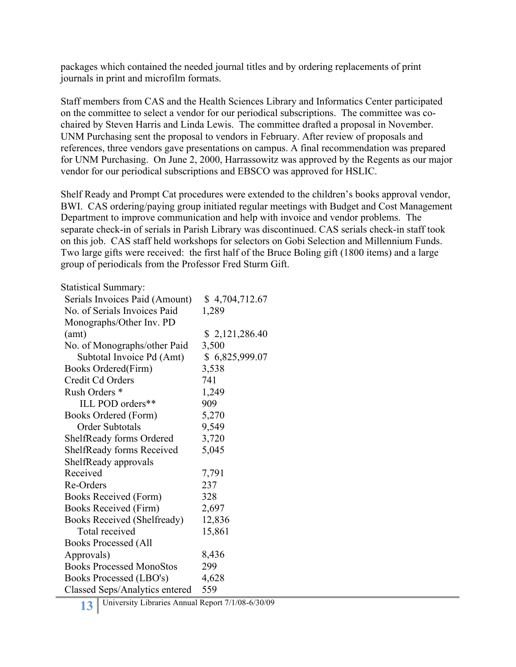packages which contained the needed journal titles and by ordering replacements of print journals in print and microfilm formats.

Staff members from CAS and the Health Sciences Library and Informatics Center participated on the committee to select a vendor for our periodical subscriptions. The committee was cochaired by Steven Harris and Linda Lewis. The committee drafted a proposal in November. UNM Purchasing sent the proposal to vendors in February. After review of proposals and references, three vendors gave presentations on campus. A final recommendation was prepared for UNM Purchasing. On June 2, 2000, Harrassowitz was approved by the Regents as our major vendor for our periodical subscriptions and EBSCO was approved for HSLIC.

Shelf Ready and Prompt Cat procedures were extended to the children's books approval vendor, BWI. CAS ordering/paying group initiated regular meetings with Budget and Cost Management Department to improve communication and help with invoice and vendor problems. The separate check-in of serials in Parish Library was discontinued. CAS serials check-in staff took on this job. CAS staff held workshops for selectors on Gobi Selection and Millennium Funds. Two large gifts were received: the first half of the Bruce Boling gift (1800 items) and a large group of periodicals from the Professor Fred Sturm Gift.

#### Statistical Summary:

| Serials Invoices Paid (Amount)   | \$4,704,712.67 |
|----------------------------------|----------------|
| No. of Serials Invoices Paid     | 1,289          |
| Monographs/Other Inv. PD         |                |
| (amt)                            | \$2,121,286.40 |
| No. of Monographs/other Paid     | 3,500          |
| Subtotal Invoice Pd (Amt)        | \$6,825,999.07 |
| Books Ordered(Firm)              | 3,538          |
| Credit Cd Orders                 | 741            |
| Rush Orders <sup>*</sup>         | 1,249          |
| ILL POD orders**                 | 909            |
| Books Ordered (Form)             | 5,270          |
| Order Subtotals                  | 9,549          |
| ShelfReady forms Ordered         | 3,720          |
| <b>ShelfReady forms Received</b> | 5,045          |
| ShelfReady approvals             |                |
| Received                         | 7,791          |
| Re-Orders                        | 237            |
| Books Received (Form)            | 328            |
| Books Received (Firm)            | 2,697          |
| Books Received (Shelfready)      | 12,836         |
| Total received                   | 15,861         |
| <b>Books Processed (All</b>      |                |
| Approvals)                       | 8,436          |
| <b>Books Processed MonoStos</b>  | 299            |
| Books Processed (LBO's)          | 4,628          |
| Classed Seps/Analytics entered   | 559            |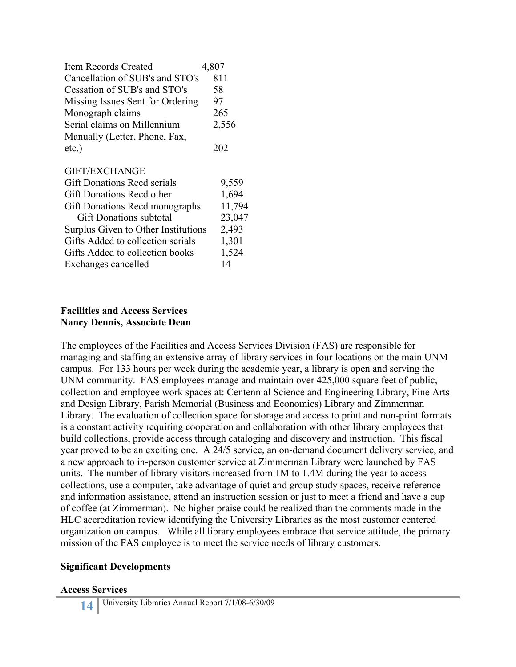| <b>Item Records Created</b>           | 4,807  |
|---------------------------------------|--------|
| Cancellation of SUB's and STO's       | 811    |
| Cessation of SUB's and STO's          | 58     |
| Missing Issues Sent for Ordering      | 97     |
| Monograph claims                      | 265    |
| Serial claims on Millennium           | 2,556  |
| Manually (Letter, Phone, Fax,         |        |
| etc.)                                 | 202    |
| <b>GIFT/EXCHANGE</b>                  |        |
| <b>Gift Donations Recd serials</b>    | 9,559  |
| Gift Donations Recd other             | 1,694  |
| <b>Gift Donations Recd monographs</b> | 11,794 |
| <b>Gift Donations subtotal</b>        | 23,047 |
| Surplus Given to Other Institutions   | 2,493  |
| Gifts Added to collection serials     | 1,301  |
| Gifts Added to collection books       | 1,524  |
| Exchanges cancelled                   | 14     |

#### **Facilities and Access Services Nancy Dennis, Associate Dean**

The employees of the Facilities and Access Services Division (FAS) are responsible for managing and staffing an extensive array of library services in four locations on the main UNM campus. For 133 hours per week during the academic year, a library is open and serving the UNM community. FAS employees manage and maintain over 425,000 square feet of public, collection and employee work spaces at: Centennial Science and Engineering Library, Fine Arts and Design Library, Parish Memorial (Business and Economics) Library and Zimmerman Library. The evaluation of collection space for storage and access to print and non-print formats is a constant activity requiring cooperation and collaboration with other library employees that build collections, provide access through cataloging and discovery and instruction. This fiscal year proved to be an exciting one. A 24/5 service, an on-demand document delivery service, and a new approach to in-person customer service at Zimmerman Library were launched by FAS units. The number of library visitors increased from 1M to 1.4M during the year to access collections, use a computer, take advantage of quiet and group study spaces, receive reference and information assistance, attend an instruction session or just to meet a friend and have a cup of coffee (at Zimmerman). No higher praise could be realized than the comments made in the HLC accreditation review identifying the University Libraries as the most customer centered organization on campus. While all library employees embrace that service attitude, the primary mission of the FAS employee is to meet the service needs of library customers.

# **Significant Developments**

#### **Access Services**

**14** University Libraries Annual Report 7/1/08-6/30/09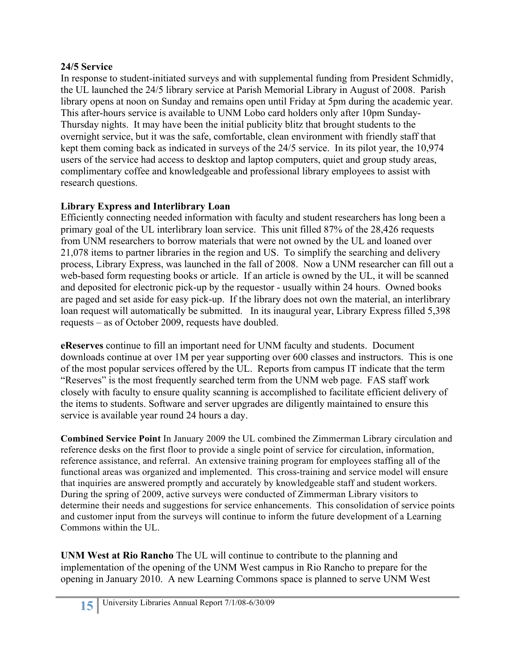# **24/5 Service**

In response to student-initiated surveys and with supplemental funding from President Schmidly, the UL launched the 24/5 library service at Parish Memorial Library in August of 2008. Parish library opens at noon on Sunday and remains open until Friday at 5pm during the academic year. This after-hours service is available to UNM Lobo card holders only after 10pm Sunday-Thursday nights. It may have been the initial publicity blitz that brought students to the overnight service, but it was the safe, comfortable, clean environment with friendly staff that kept them coming back as indicated in surveys of the 24/5 service. In its pilot year, the 10,974 users of the service had access to desktop and laptop computers, quiet and group study areas, complimentary coffee and knowledgeable and professional library employees to assist with research questions.

# **Library Express and Interlibrary Loan**

Efficiently connecting needed information with faculty and student researchers has long been a primary goal of the UL interlibrary loan service. This unit filled 87% of the 28,426 requests from UNM researchers to borrow materials that were not owned by the UL and loaned over 21,078 items to partner libraries in the region and US. To simplify the searching and delivery process, Library Express, was launched in the fall of 2008. Now a UNM researcher can fill out a web-based form requesting books or article. If an article is owned by the UL, it will be scanned and deposited for electronic pick-up by the requestor - usually within 24 hours. Owned books are paged and set aside for easy pick-up. If the library does not own the material, an interlibrary loan request will automatically be submitted. In its inaugural year, Library Express filled 5,398 requests – as of October 2009, requests have doubled.

**eReserves** continue to fill an important need for UNM faculty and students. Document downloads continue at over 1M per year supporting over 600 classes and instructors. This is one of the most popular services offered by the UL. Reports from campus IT indicate that the term "Reserves" is the most frequently searched term from the UNM web page. FAS staff work closely with faculty to ensure quality scanning is accomplished to facilitate efficient delivery of the items to students. Software and server upgrades are diligently maintained to ensure this service is available year round 24 hours a day.

**Combined Service Point** In January 2009 the UL combined the Zimmerman Library circulation and reference desks on the first floor to provide a single point of service for circulation, information, reference assistance, and referral. An extensive training program for employees staffing all of the functional areas was organized and implemented. This cross-training and service model will ensure that inquiries are answered promptly and accurately by knowledgeable staff and student workers. During the spring of 2009, active surveys were conducted of Zimmerman Library visitors to determine their needs and suggestions for service enhancements. This consolidation of service points and customer input from the surveys will continue to inform the future development of a Learning Commons within the UL.

**UNM West at Rio Rancho** The UL will continue to contribute to the planning and implementation of the opening of the UNM West campus in Rio Rancho to prepare for the opening in January 2010. A new Learning Commons space is planned to serve UNM West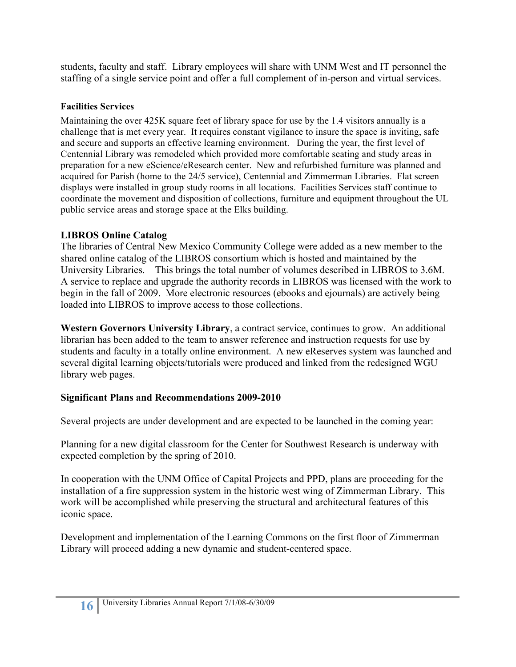students, faculty and staff. Library employees will share with UNM West and IT personnel the staffing of a single service point and offer a full complement of in-person and virtual services.

# **Facilities Services**

Maintaining the over 425K square feet of library space for use by the 1.4 visitors annually is a challenge that is met every year. It requires constant vigilance to insure the space is inviting, safe and secure and supports an effective learning environment. During the year, the first level of Centennial Library was remodeled which provided more comfortable seating and study areas in preparation for a new eScience/eResearch center. New and refurbished furniture was planned and acquired for Parish (home to the 24/5 service), Centennial and Zimmerman Libraries. Flat screen displays were installed in group study rooms in all locations. Facilities Services staff continue to coordinate the movement and disposition of collections, furniture and equipment throughout the UL public service areas and storage space at the Elks building.

# **LIBROS Online Catalog**

The libraries of Central New Mexico Community College were added as a new member to the shared online catalog of the LIBROS consortium which is hosted and maintained by the University Libraries. This brings the total number of volumes described in LIBROS to 3.6M. A service to replace and upgrade the authority records in LIBROS was licensed with the work to begin in the fall of 2009. More electronic resources (ebooks and ejournals) are actively being loaded into LIBROS to improve access to those collections.

Western Governors University Library, a contract service, continues to grow. An additional librarian has been added to the team to answer reference and instruction requests for use by students and faculty in a totally online environment. A new eReserves system was launched and several digital learning objects/tutorials were produced and linked from the redesigned WGU library web pages.

# **Significant Plans and Recommendations 2009-2010**

Several projects are under development and are expected to be launched in the coming year:

Planning for a new digital classroom for the Center for Southwest Research is underway with expected completion by the spring of 2010.

In cooperation with the UNM Office of Capital Projects and PPD, plans are proceeding for the installation of a fire suppression system in the historic west wing of Zimmerman Library. This work will be accomplished while preserving the structural and architectural features of this iconic space.

Development and implementation of the Learning Commons on the first floor of Zimmerman Library will proceed adding a new dynamic and student-centered space.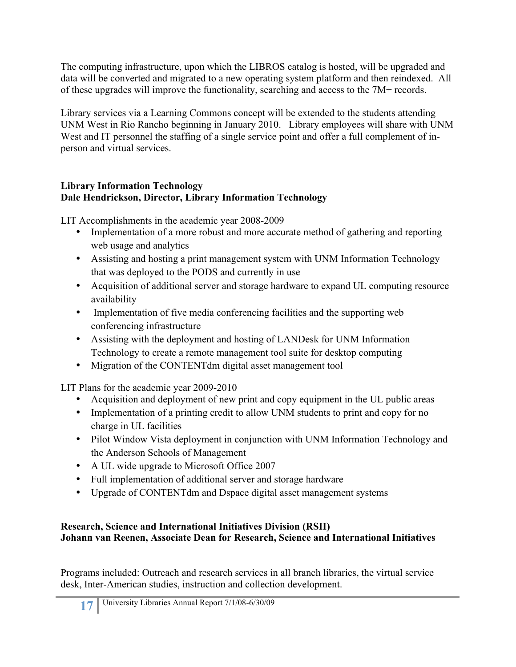The computing infrastructure, upon which the LIBROS catalog is hosted, will be upgraded and data will be converted and migrated to a new operating system platform and then reindexed. All of these upgrades will improve the functionality, searching and access to the 7M+ records.

Library services via a Learning Commons concept will be extended to the students attending UNM West in Rio Rancho beginning in January 2010. Library employees will share with UNM West and IT personnel the staffing of a single service point and offer a full complement of inperson and virtual services.

# **Library Information Technology Dale Hendrickson, Director, Library Information Technology**

LIT Accomplishments in the academic year 2008-2009

- Implementation of a more robust and more accurate method of gathering and reporting web usage and analytics
- Assisting and hosting a print management system with UNM Information Technology that was deployed to the PODS and currently in use
- Acquisition of additional server and storage hardware to expand UL computing resource availability
- Implementation of five media conferencing facilities and the supporting web conferencing infrastructure
- Assisting with the deployment and hosting of LANDesk for UNM Information Technology to create a remote management tool suite for desktop computing
- Migration of the CONTENTdm digital asset management tool

LIT Plans for the academic year 2009-2010

- Acquisition and deployment of new print and copy equipment in the UL public areas
- Implementation of a printing credit to allow UNM students to print and copy for no charge in UL facilities
- Pilot Window Vista deployment in conjunction with UNM Information Technology and the Anderson Schools of Management
- A UL wide upgrade to Microsoft Office 2007
- Full implementation of additional server and storage hardware
- Upgrade of CONTENTdm and Dspace digital asset management systems

# **Research, Science and International Initiatives Division (RSII) Johann van Reenen, Associate Dean for Research, Science and International Initiatives**

Programs included: Outreach and research services in all branch libraries, the virtual service desk, Inter-American studies, instruction and collection development.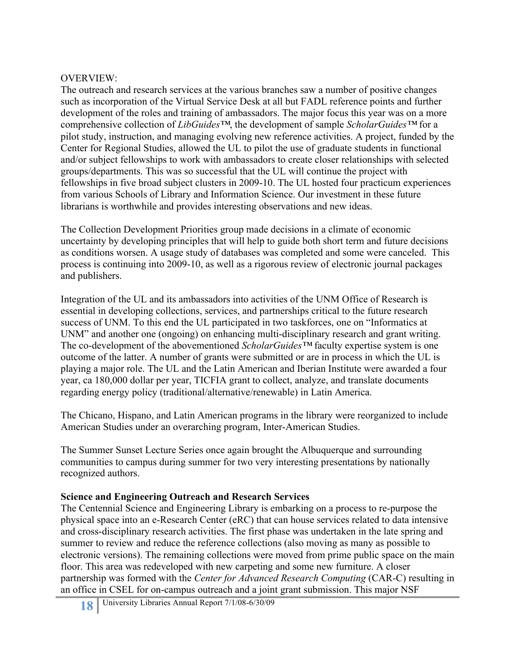#### OVERVIEW:

The outreach and research services at the various branches saw a number of positive changes such as incorporation of the Virtual Service Desk at all but FADL reference points and further development of the roles and training of ambassadors. The major focus this year was on a more comprehensive collection of *LibGuides™*, the development of sample *ScholarGuides™* for a pilot study, instruction, and managing evolving new reference activities. A project, funded by the Center for Regional Studies, allowed the UL to pilot the use of graduate students in functional and/or subject fellowships to work with ambassadors to create closer relationships with selected groups/departments. This was so successful that the UL will continue the project with fellowships in five broad subject clusters in 2009-10. The UL hosted four practicum experiences from various Schools of Library and Information Science. Our investment in these future librarians is worthwhile and provides interesting observations and new ideas.

The Collection Development Priorities group made decisions in a climate of economic uncertainty by developing principles that will help to guide both short term and future decisions as conditions worsen. A usage study of databases was completed and some were canceled. This process is continuing into 2009-10, as well as a rigorous review of electronic journal packages and publishers.

Integration of the UL and its ambassadors into activities of the UNM Office of Research is essential in developing collections, services, and partnerships critical to the future research success of UNM. To this end the UL participated in two taskforces, one on "Informatics at UNM" and another one (ongoing) on enhancing multi-disciplinary research and grant writing. The co-development of the abovementioned *ScholarGuides™* faculty expertise system is one outcome of the latter. A number of grants were submitted or are in process in which the UL is playing a major role. The UL and the Latin American and Iberian Institute were awarded a four year, ca 180,000 dollar per year, TICFIA grant to collect, analyze, and translate documents regarding energy policy (traditional/alternative/renewable) in Latin America.

The Chicano, Hispano, and Latin American programs in the library were reorganized to include American Studies under an overarching program, Inter-American Studies.

The Summer Sunset Lecture Series once again brought the Albuquerque and surrounding communities to campus during summer for two very interesting presentations by nationally recognized authors.

#### **Science and Engineering Outreach and Research Services**

The Centennial Science and Engineering Library is embarking on a process to re-purpose the physical space into an e-Research Center (eRC) that can house services related to data intensive and cross-disciplinary research activities. The first phase was undertaken in the late spring and summer to review and reduce the reference collections (also moving as many as possible to electronic versions). The remaining collections were moved from prime public space on the main floor. This area was redeveloped with new carpeting and some new furniture. A closer partnership was formed with the *Center for Advanced Research Computing* (CAR-C) resulting in an office in CSEL for on-campus outreach and a joint grant submission. This major NSF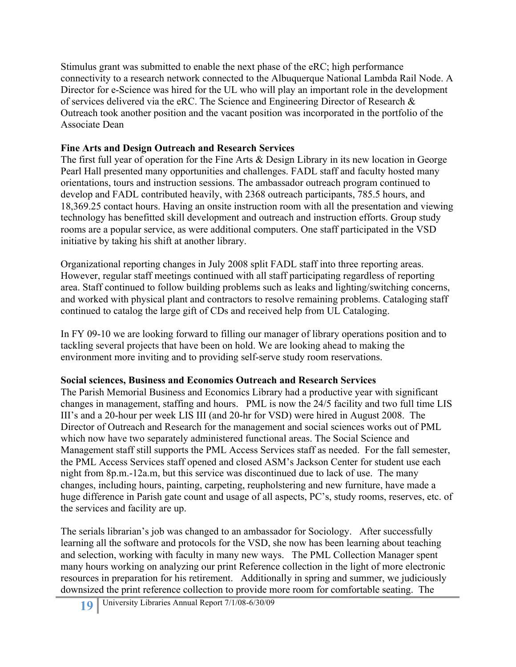Stimulus grant was submitted to enable the next phase of the eRC; high performance connectivity to a research network connected to the Albuquerque National Lambda Rail Node. A Director for e-Science was hired for the UL who will play an important role in the development of services delivered via the eRC. The Science and Engineering Director of Research & Outreach took another position and the vacant position was incorporated in the portfolio of the Associate Dean

# **Fine Arts and Design Outreach and Research Services**

The first full year of operation for the Fine Arts & Design Library in its new location in George Pearl Hall presented many opportunities and challenges. FADL staff and faculty hosted many orientations, tours and instruction sessions. The ambassador outreach program continued to develop and FADL contributed heavily, with 2368 outreach participants, 785.5 hours, and 18,369.25 contact hours. Having an onsite instruction room with all the presentation and viewing technology has benefitted skill development and outreach and instruction efforts. Group study rooms are a popular service, as were additional computers. One staff participated in the VSD initiative by taking his shift at another library.

Organizational reporting changes in July 2008 split FADL staff into three reporting areas. However, regular staff meetings continued with all staff participating regardless of reporting area. Staff continued to follow building problems such as leaks and lighting/switching concerns, and worked with physical plant and contractors to resolve remaining problems. Cataloging staff continued to catalog the large gift of CDs and received help from UL Cataloging.

In FY 09-10 we are looking forward to filling our manager of library operations position and to tackling several projects that have been on hold. We are looking ahead to making the environment more inviting and to providing self-serve study room reservations.

# **Social sciences, Business and Economics Outreach and Research Services**

The Parish Memorial Business and Economics Library had a productive year with significant changes in management, staffing and hours. PML is now the 24/5 facility and two full time LIS III's and a 20-hour per week LIS III (and 20-hr for VSD) were hired in August 2008. The Director of Outreach and Research for the management and social sciences works out of PML which now have two separately administered functional areas. The Social Science and Management staff still supports the PML Access Services staff as needed. For the fall semester, the PML Access Services staff opened and closed ASM's Jackson Center for student use each night from 8p.m.-12a.m, but this service was discontinued due to lack of use. The many changes, including hours, painting, carpeting, reupholstering and new furniture, have made a huge difference in Parish gate count and usage of all aspects, PC's, study rooms, reserves, etc. of the services and facility are up.

The serials librarian's job was changed to an ambassador for Sociology. After successfully learning all the software and protocols for the VSD, she now has been learning about teaching and selection, working with faculty in many new ways. The PML Collection Manager spent many hours working on analyzing our print Reference collection in the light of more electronic resources in preparation for his retirement. Additionally in spring and summer, we judiciously downsized the print reference collection to provide more room for comfortable seating. The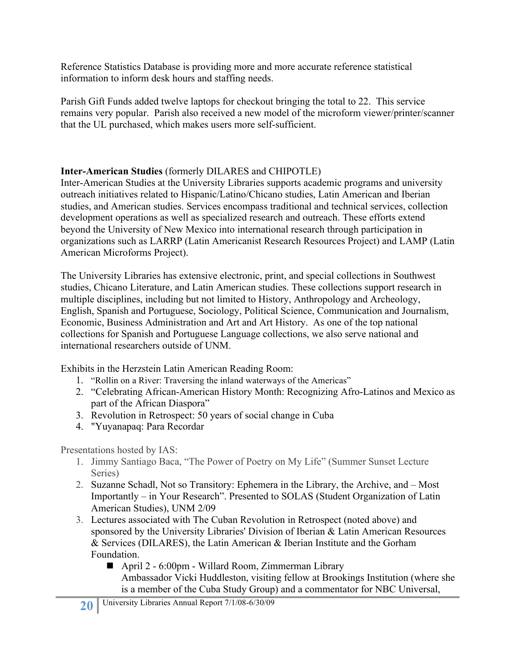Reference Statistics Database is providing more and more accurate reference statistical information to inform desk hours and staffing needs.

Parish Gift Funds added twelve laptops for checkout bringing the total to 22. This service remains very popular. Parish also received a new model of the microform viewer/printer/scanner that the UL purchased, which makes users more self-sufficient.

# **Inter-American Studies** (formerly DILARES and CHIPOTLE)

Inter-American Studies at the University Libraries supports academic programs and university outreach initiatives related to Hispanic/Latino/Chicano studies, Latin American and Iberian studies, and American studies. Services encompass traditional and technical services, collection development operations as well as specialized research and outreach. These efforts extend beyond the University of New Mexico into international research through participation in organizations such as LARRP (Latin Americanist Research Resources Project) and LAMP (Latin American Microforms Project).

The University Libraries has extensive electronic, print, and special collections in Southwest studies, Chicano Literature, and Latin American studies. These collections support research in multiple disciplines, including but not limited to History, Anthropology and Archeology, English, Spanish and Portuguese, Sociology, Political Science, Communication and Journalism, Economic, Business Administration and Art and Art History. As one of the top national collections for Spanish and Portuguese Language collections, we also serve national and international researchers outside of UNM.

Exhibits in the Herzstein Latin American Reading Room:

- 1. "Rollin on a River: Traversing the inland waterways of the Americas"
- 2. "Celebrating African-American History Month: Recognizing Afro-Latinos and Mexico as part of the African Diaspora"
- 3. Revolution in Retrospect: 50 years of social change in Cuba
- 4. "Yuyanapaq: Para Recordar

Presentations hosted by IAS:

- 1. Jimmy Santiago Baca, "The Power of Poetry on My Life" (Summer Sunset Lecture Series)
- 2. Suzanne Schadl, Not so Transitory: Ephemera in the Library, the Archive, and Most Importantly – in Your Research". Presented to SOLAS (Student Organization of Latin American Studies), UNM 2/09
- 3. Lectures associated with The Cuban Revolution in Retrospect (noted above) and sponsored by the University Libraries' Division of Iberian & Latin American Resources & Services (DILARES), the Latin American & Iberian Institute and the Gorham Foundation.
	- April 2 6:00pm Willard Room, Zimmerman Library Ambassador Vicki Huddleston, visiting fellow at Brookings Institution (where she is a member of the Cuba Study Group) and a commentator for NBC Universal,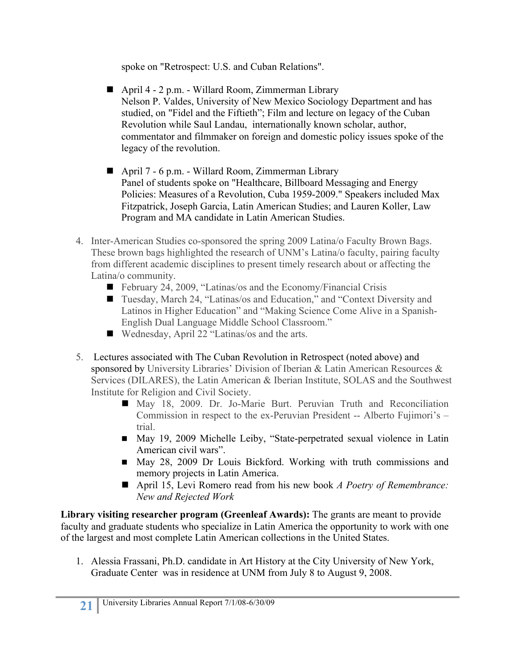spoke on "Retrospect: U.S. and Cuban Relations".

- April 4 2 p.m. Willard Room, Zimmerman Library Nelson P. Valdes, University of New Mexico Sociology Department and has studied, on "Fidel and the Fiftieth"; Film and lecture on legacy of the Cuban Revolution while Saul Landau, internationally known scholar, author, commentator and filmmaker on foreign and domestic policy issues spoke of the legacy of the revolution.
- April 7 6 p.m. Willard Room, Zimmerman Library Panel of students spoke on "Healthcare, Billboard Messaging and Energy Policies: Measures of a Revolution, Cuba 1959-2009." Speakers included Max Fitzpatrick, Joseph Garcia, Latin American Studies; and Lauren Koller, Law Program and MA candidate in Latin American Studies.
- 4. Inter-American Studies co-sponsored the spring 2009 Latina/o Faculty Brown Bags. These brown bags highlighted the research of UNM's Latina/o faculty, pairing faculty from different academic disciplines to present timely research about or affecting the Latina/o community.
	- February 24, 2009, "Latinas/os and the Economy/Financial Crisis
	- Tuesday, March 24, "Latinas/os and Education," and "Context Diversity and Latinos in Higher Education" and "Making Science Come Alive in a Spanish-English Dual Language Middle School Classroom."
	- Wednesday, April 22 "Latinas/os and the arts.
- 5. Lectures associated with The Cuban Revolution in Retrospect (noted above) and sponsored by University Libraries' Division of Iberian & Latin American Resources & Services (DILARES), the Latin American & Iberian Institute, SOLAS and the Southwest Institute for Religion and Civil Society.
	- May 18, 2009. Dr. Jo-Marie Burt. Peruvian Truth and Reconciliation Commission in respect to the ex-Peruvian President -- Alberto Fujimori's – trial.
	- May 19, 2009 Michelle Leiby, "State-perpetrated sexual violence in Latin American civil wars".
	- May 28, 2009 Dr Louis Bickford. Working with truth commissions and memory projects in Latin America.
	- April 15, Levi Romero read from his new book *A Poetry of Remembrance: New and Rejected Work*

**Library visiting researcher program (Greenleaf Awards):** The grants are meant to provide faculty and graduate students who specialize in Latin America the opportunity to work with one of the largest and most complete Latin American collections in the United States.

1. Alessia Frassani, Ph.D. candidate in Art History at the City University of New York, Graduate Center was in residence at UNM from July 8 to August 9, 2008.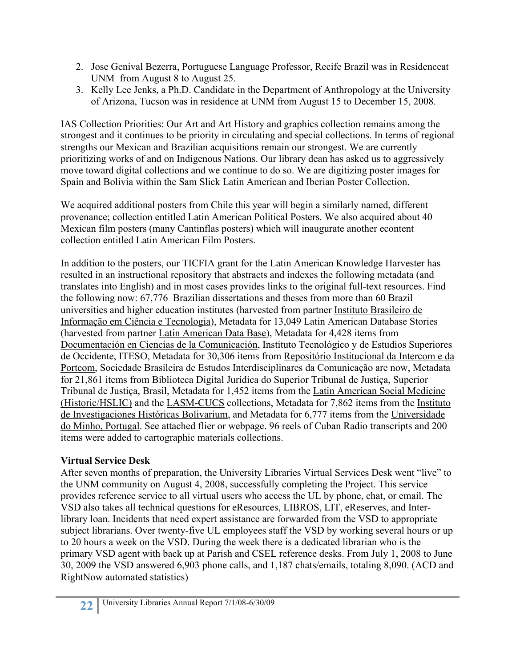- 2. Jose Genival Bezerra, Portuguese Language Professor, Recife Brazil was in Residenceat UNM from August 8 to August 25.
- 3. Kelly Lee Jenks, a Ph.D. Candidate in the Department of Anthropology at the University of Arizona, Tucson was in residence at UNM from August 15 to December 15, 2008.

IAS Collection Priorities: Our Art and Art History and graphics collection remains among the strongest and it continues to be priority in circulating and special collections. In terms of regional strengths our Mexican and Brazilian acquisitions remain our strongest. We are currently prioritizing works of and on Indigenous Nations. Our library dean has asked us to aggressively move toward digital collections and we continue to do so. We are digitizing poster images for Spain and Bolivia within the Sam Slick Latin American and Iberian Poster Collection.

We acquired additional posters from Chile this year will begin a similarly named, different provenance; collection entitled Latin American Political Posters. We also acquired about 40 Mexican film posters (many Cantinflas posters) which will inaugurate another econtent collection entitled Latin American Film Posters.

In addition to the posters, our TICFIA grant for the Latin American Knowledge Harvester has resulted in an instructional repository that abstracts and indexes the following metadata (and translates into English) and in most cases provides links to the original full-text resources. Find the following now: 67,776 Brazilian dissertations and theses from more than 60 Brazil universities and higher education institutes (harvested from partner Instituto Brasileiro de Informação em Ciência e Tecnologia), Metadata for 13,049 Latin American Database Stories (harvested from partner Latin American Data Base), Metadata for 4,428 items from Documentación en Ciencias de la Comunicación, Instituto Tecnológico y de Estudios Superiores de Occidente, ITESO, Metadata for 30,306 items from Repositório Institucional da Intercom e da Portcom, Sociedade Brasileira de Estudos Interdisciplinares da Comunicação are now, Metadata for 21,861 items from Biblioteca Digital Jurídica do Superior Tribunal de Justiça, Superior Tribunal de Justiça, Brasil, Metadata for 1,452 items from the Latin American Social Medicine (Historic/HSLIC) and the LASM-CUCS collections, Metadata for 7,862 items from the Instituto de Investigaciones Históricas Bolivarium, and Metadata for 6,777 items from the Universidade do Minho, Portugal. See attached flier or webpage. 96 reels of Cuban Radio transcripts and 200 items were added to cartographic materials collections.

# **Virtual Service Desk**

After seven months of preparation, the University Libraries Virtual Services Desk went "live" to the UNM community on August 4, 2008, successfully completing the Project. This service provides reference service to all virtual users who access the UL by phone, chat, or email. The VSD also takes all technical questions for eResources, LIBROS, LIT, eReserves, and Interlibrary loan. Incidents that need expert assistance are forwarded from the VSD to appropriate subject librarians. Over twenty-five UL employees staff the VSD by working several hours or up to 20 hours a week on the VSD. During the week there is a dedicated librarian who is the primary VSD agent with back up at Parish and CSEL reference desks. From July 1, 2008 to June 30, 2009 the VSD answered 6,903 phone calls, and 1,187 chats/emails, totaling 8,090. (ACD and RightNow automated statistics)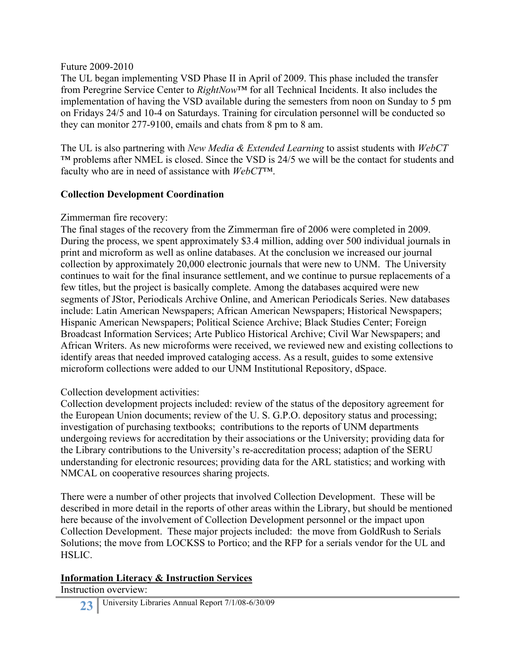#### Future 2009-2010

The UL began implementing VSD Phase II in April of 2009. This phase included the transfer from Peregrine Service Center to *RightNow*™ for all Technical Incidents. It also includes the implementation of having the VSD available during the semesters from noon on Sunday to 5 pm on Fridays 24/5 and 10-4 on Saturdays. Training for circulation personnel will be conducted so they can monitor 277-9100, emails and chats from 8 pm to 8 am.

The UL is also partnering with *New Media & Extended Learning* to assist students with *WebCT*  $<sup>TM</sup>$  problems after NMEL is closed. Since the VSD is 24/5 we will be the contact for students and</sup> faculty who are in need of assistance with *WebCT*™.

### **Collection Development Coordination**

### Zimmerman fire recovery:

The final stages of the recovery from the Zimmerman fire of 2006 were completed in 2009. During the process, we spent approximately \$3.4 million, adding over 500 individual journals in print and microform as well as online databases. At the conclusion we increased our journal collection by approximately 20,000 electronic journals that were new to UNM. The University continues to wait for the final insurance settlement, and we continue to pursue replacements of a few titles, but the project is basically complete. Among the databases acquired were new segments of JStor, Periodicals Archive Online, and American Periodicals Series. New databases include: Latin American Newspapers; African American Newspapers; Historical Newspapers; Hispanic American Newspapers; Political Science Archive; Black Studies Center; Foreign Broadcast Information Services; Arte Publico Historical Archive; Civil War Newspapers; and African Writers. As new microforms were received, we reviewed new and existing collections to identify areas that needed improved cataloging access. As a result, guides to some extensive microform collections were added to our UNM Institutional Repository, dSpace.

# Collection development activities:

Collection development projects included: review of the status of the depository agreement for the European Union documents; review of the U. S. G.P.O. depository status and processing; investigation of purchasing textbooks; contributions to the reports of UNM departments undergoing reviews for accreditation by their associations or the University; providing data for the Library contributions to the University's re-accreditation process; adaption of the SERU understanding for electronic resources; providing data for the ARL statistics; and working with NMCAL on cooperative resources sharing projects.

There were a number of other projects that involved Collection Development. These will be described in more detail in the reports of other areas within the Library, but should be mentioned here because of the involvement of Collection Development personnel or the impact upon Collection Development. These major projects included: the move from GoldRush to Serials Solutions; the move from LOCKSS to Portico; and the RFP for a serials vendor for the UL and HSLIC.

# **Information Literacy & Instruction Services**

Instruction overview: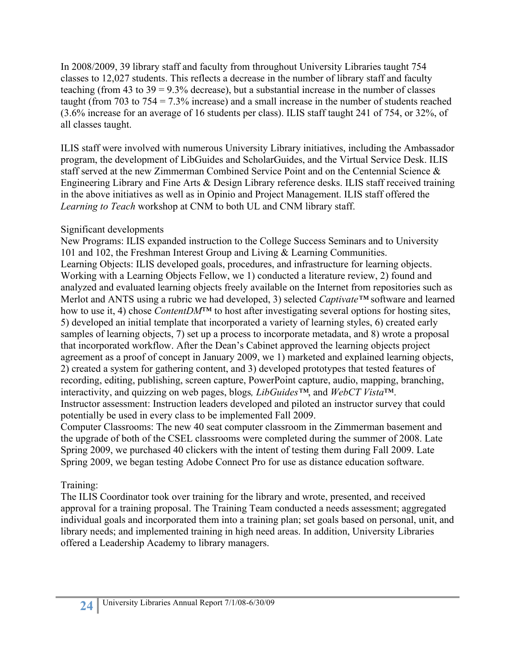In 2008/2009, 39 library staff and faculty from throughout University Libraries taught 754 classes to 12,027 students. This reflects a decrease in the number of library staff and faculty teaching (from 43 to  $39 = 9.3\%$  decrease), but a substantial increase in the number of classes taught (from 703 to 754 = 7.3% increase) and a small increase in the number of students reached (3.6% increase for an average of 16 students per class). ILIS staff taught 241 of 754, or 32%, of all classes taught.

ILIS staff were involved with numerous University Library initiatives, including the Ambassador program, the development of LibGuides and ScholarGuides, and the Virtual Service Desk. ILIS staff served at the new Zimmerman Combined Service Point and on the Centennial Science & Engineering Library and Fine Arts & Design Library reference desks. ILIS staff received training in the above initiatives as well as in Opinio and Project Management. ILIS staff offered the *Learning to Teach* workshop at CNM to both UL and CNM library staff.

# Significant developments

New Programs: ILIS expanded instruction to the College Success Seminars and to University 101 and 102, the Freshman Interest Group and Living & Learning Communities. Learning Objects: ILIS developed goals, procedures, and infrastructure for learning objects. Working with a Learning Objects Fellow, we 1) conducted a literature review, 2) found and analyzed and evaluated learning objects freely available on the Internet from repositories such as Merlot and ANTS using a rubric we had developed, 3) selected *Captivate™* software and learned how to use it, 4) chose *ContentDM*™ to host after investigating several options for hosting sites, 5) developed an initial template that incorporated a variety of learning styles, 6) created early samples of learning objects, 7) set up a process to incorporate metadata, and 8) wrote a proposal that incorporated workflow. After the Dean's Cabinet approved the learning objects project agreement as a proof of concept in January 2009, we 1) marketed and explained learning objects, 2) created a system for gathering content, and 3) developed prototypes that tested features of recording, editing, publishing, screen capture, PowerPoint capture, audio, mapping, branching, interactivity, and quizzing on web pages, blogs*, LibGuides™*, and *WebCT Vista*™. Instructor assessment: Instruction leaders developed and piloted an instructor survey that could potentially be used in every class to be implemented Fall 2009.

Computer Classrooms: The new 40 seat computer classroom in the Zimmerman basement and the upgrade of both of the CSEL classrooms were completed during the summer of 2008. Late Spring 2009, we purchased 40 clickers with the intent of testing them during Fall 2009. Late Spring 2009, we began testing Adobe Connect Pro for use as distance education software.

# Training:

The ILIS Coordinator took over training for the library and wrote, presented, and received approval for a training proposal. The Training Team conducted a needs assessment; aggregated individual goals and incorporated them into a training plan; set goals based on personal, unit, and library needs; and implemented training in high need areas. In addition, University Libraries offered a Leadership Academy to library managers.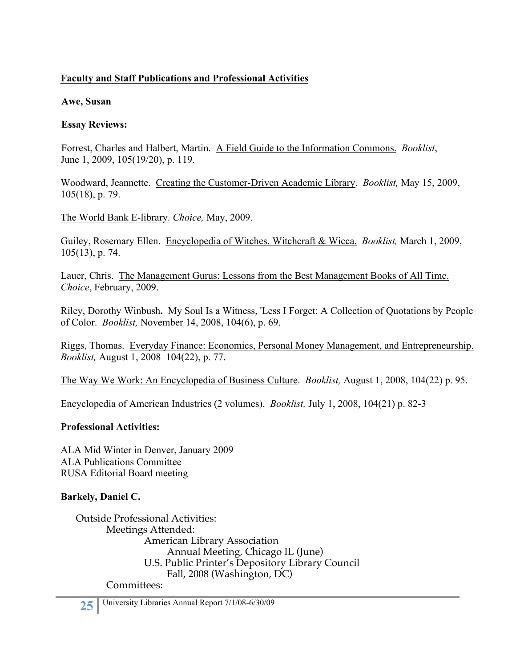# **Faculty and Staff Publications and Professional Activities**

### **Awe, Susan**

### **Essay Reviews:**

Forrest, Charles and Halbert, Martin. A Field Guide to the Information Commons. *Booklist*, June 1, 2009, 105(19/20), p. 119.

Woodward, Jeannette. Creating the Customer-Driven Academic Library. *Booklist,* May 15, 2009, 105(18), p. 79.

The World Bank E-library. *Choice,* May, 2009.

Guiley, Rosemary Ellen. Encyclopedia of Witches, Witchcraft & Wicca. *Booklist,* March 1, 2009, 105(13), p. 74.

Lauer, Chris. The Management Gurus: Lessons from the Best Management Books of All Time. *Choice*, February, 2009.

Riley, Dorothy Winbush**.** My Soul Is a Witness, 'Less I Forget: A Collection of Quotations by People of Color. *Booklist,* November 14, 2008, 104(6), p. 69.

Riggs, Thomas. Everyday Finance: Economics, Personal Money Management, and Entrepreneurship. *Booklist,* August 1, 2008 104(22), p. 77.

The Way We Work: An Encyclopedia of Business Culture. *Booklist,* August 1, 2008, 104(22) p. 95.

Encyclopedia of American Industries (2 volumes). *Booklist,* July 1, 2008, 104(21) p. 82-3

# **Professional Activities:**

ALA Mid Winter in Denver, January 2009 ALA Publications Committee RUSA Editorial Board meeting

# **Barkely, Daniel C.**

Outside Professional Activities: Meetings Attended: American Library Association Annual Meeting, Chicago IL (June) U.S. Public Printer's Depository Library Council Fall, 2008 (Washington, DC) Committees: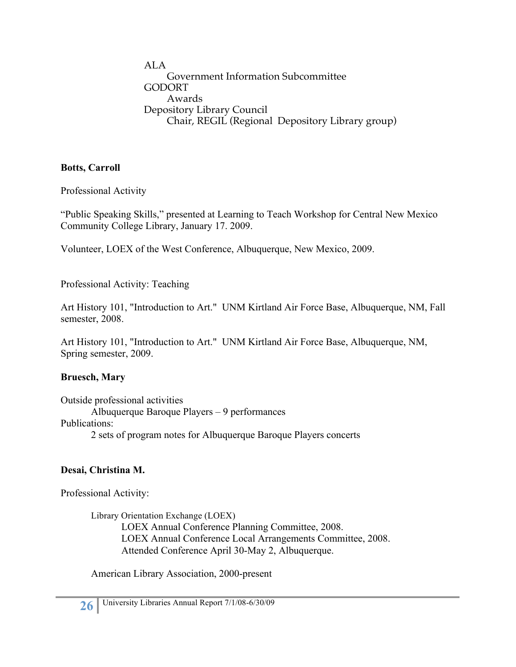ALA Government Information Subcommittee GODORT Awards Depository Library Council Chair, REGIL (Regional Depository Library group)

### **Botts, Carroll**

Professional Activity

"Public Speaking Skills," presented at Learning to Teach Workshop for Central New Mexico Community College Library, January 17. 2009.

Volunteer, LOEX of the West Conference, Albuquerque, New Mexico, 2009.

Professional Activity: Teaching

Art History 101, "Introduction to Art." UNM Kirtland Air Force Base, Albuquerque, NM, Fall semester, 2008.

Art History 101, "Introduction to Art." UNM Kirtland Air Force Base, Albuquerque, NM, Spring semester, 2009.

# **Bruesch, Mary**

Outside professional activities Albuquerque Baroque Players – 9 performances Publications: 2 sets of program notes for Albuquerque Baroque Players concerts

# **Desai, Christina M.**

Professional Activity:

Library Orientation Exchange (LOEX) LOEX Annual Conference Planning Committee, 2008. LOEX Annual Conference Local Arrangements Committee, 2008. Attended Conference April 30-May 2, Albuquerque.

American Library Association, 2000-present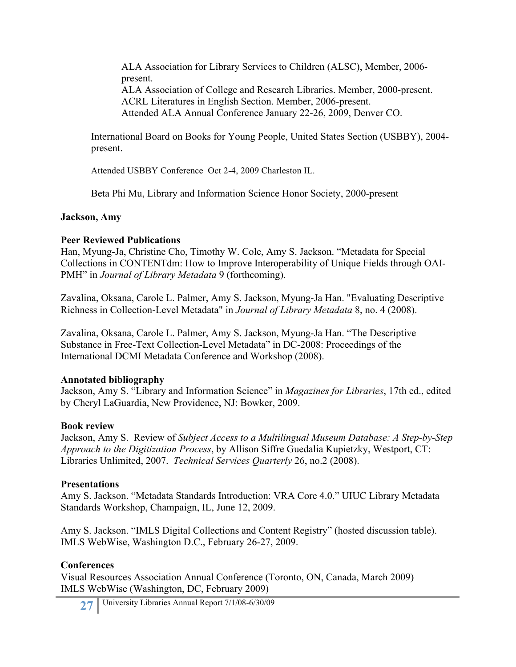ALA Association for Library Services to Children (ALSC), Member, 2006 present. ALA Association of College and Research Libraries. Member, 2000-present. ACRL Literatures in English Section. Member, 2006-present. Attended ALA Annual Conference January 22-26, 2009, Denver CO.

International Board on Books for Young People, United States Section (USBBY), 2004 present.

Attended USBBY Conference Oct 2-4, 2009 Charleston IL.

Beta Phi Mu, Library and Information Science Honor Society, 2000-present

### **Jackson, Amy**

### **Peer Reviewed Publications**

Han, Myung-Ja, Christine Cho, Timothy W. Cole, Amy S. Jackson. "Metadata for Special Collections in CONTENTdm: How to Improve Interoperability of Unique Fields through OAI-PMH" in *Journal of Library Metadata* 9 (forthcoming).

Zavalina, Oksana, Carole L. Palmer, Amy S. Jackson, Myung-Ja Han. "Evaluating Descriptive Richness in Collection-Level Metadata" in *Journal of Library Metadata* 8, no. 4 (2008).

Zavalina, Oksana, Carole L. Palmer, Amy S. Jackson, Myung-Ja Han. "The Descriptive Substance in Free-Text Collection-Level Metadata" in DC-2008: Proceedings of the International DCMI Metadata Conference and Workshop (2008).

# **Annotated bibliography**

Jackson, Amy S. "Library and Information Science" in *Magazines for Libraries*, 17th ed., edited by Cheryl LaGuardia, New Providence, NJ: Bowker, 2009.

# **Book review**

Jackson, Amy S. Review of *Subject Access to a Multilingual Museum Database: A Step-by-Step Approach to the Digitization Process*, by Allison Siffre Guedalia Kupietzky, Westport, CT: Libraries Unlimited, 2007. *Technical Services Quarterly* 26, no.2 (2008).

# **Presentations**

Amy S. Jackson. "Metadata Standards Introduction: VRA Core 4.0." UIUC Library Metadata Standards Workshop, Champaign, IL, June 12, 2009.

Amy S. Jackson. "IMLS Digital Collections and Content Registry" (hosted discussion table). IMLS WebWise, Washington D.C., February 26-27, 2009.

# **Conferences**

Visual Resources Association Annual Conference (Toronto, ON, Canada, March 2009) IMLS WebWise (Washington, DC, February 2009)

27 University Libraries Annual Report 7/1/08-6/30/09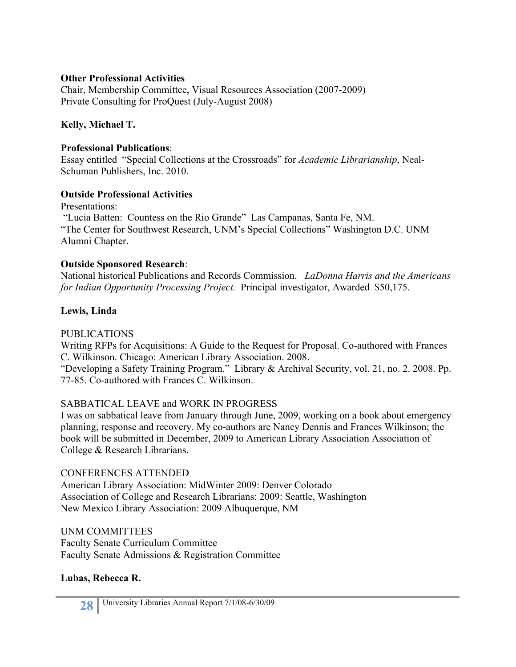### **Other Professional Activities**

Chair, Membership Committee, Visual Resources Association (2007-2009) Private Consulting for ProQuest (July-August 2008)

### **Kelly, Michael T.**

#### **Professional Publications**:

Essay entitled "Special Collections at the Crossroads" for *Academic Librarianship*, Neal-Schuman Publishers, Inc. 2010.

### **Outside Professional Activities**

Presentations: "Lucia Batten: Countess on the Rio Grande" Las Campanas, Santa Fe, NM. "The Center for Southwest Research, UNM's Special Collections" Washington D.C. UNM Alumni Chapter.

### **Outside Sponsored Research**:

National historical Publications and Records Commission. *LaDonna Harris and the Americans for Indian Opportunity Processing Project.* Principal investigator, Awarded \$50,175.

# **Lewis, Linda**

#### PUBLICATIONS

Writing RFPs for Acquisitions: A Guide to the Request for Proposal. Co-authored with Frances C. Wilkinson. Chicago: American Library Association. 2008.

"Developing a Safety Training Program." Library & Archival Security, vol. 21, no. 2. 2008. Pp. 77-85. Co-authored with Frances C. Wilkinson.

# SABBATICAL LEAVE and WORK IN PROGRESS

I was on sabbatical leave from January through June, 2009, working on a book about emergency planning, response and recovery. My co-authors are Nancy Dennis and Frances Wilkinson; the book will be submitted in December, 2009 to American Library Association Association of College & Research Librarians.

#### CONFERENCES ATTENDED

American Library Association: MidWinter 2009: Denver Colorado Association of College and Research Librarians: 2009: Seattle, Washington New Mexico Library Association: 2009 Albuquerque, NM

UNM COMMITTEES Faculty Senate Curriculum Committee Faculty Senate Admissions & Registration Committee

# **Lubas, Rebecca R.**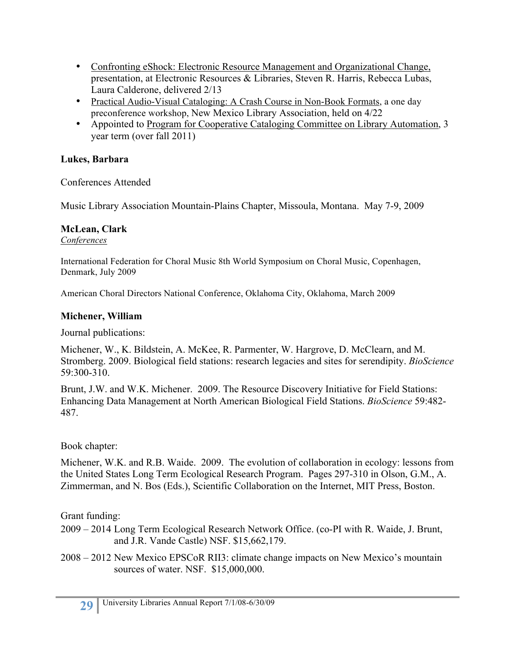- Confronting eShock: Electronic Resource Management and Organizational Change, presentation, at Electronic Resources & Libraries, Steven R. Harris, Rebecca Lubas, Laura Calderone, delivered 2/13
- Practical Audio-Visual Cataloging: A Crash Course in Non-Book Formats, a one day preconference workshop, New Mexico Library Association, held on 4/22
- Appointed to Program for Cooperative Cataloging Committee on Library Automation, 3 year term (over fall 2011)

# **Lukes, Barbara**

Conferences Attended

Music Library Association Mountain-Plains Chapter, Missoula, Montana. May 7-9, 2009

# **McLean, Clark**

*Conferences*

International Federation for Choral Music 8th World Symposium on Choral Music, Copenhagen, Denmark, July 2009

American Choral Directors National Conference, Oklahoma City, Oklahoma, March 2009

# **Michener, William**

Journal publications:

Michener, W., K. Bildstein, A. McKee, R. Parmenter, W. Hargrove, D. McClearn, and M. Stromberg. 2009. Biological field stations: research legacies and sites for serendipity. *BioScience* 59:300-310.

Brunt, J.W. and W.K. Michener. 2009. The Resource Discovery Initiative for Field Stations: Enhancing Data Management at North American Biological Field Stations. *BioScience* 59:482- 487.

# Book chapter:

Michener, W.K. and R.B. Waide. 2009. The evolution of collaboration in ecology: lessons from the United States Long Term Ecological Research Program. Pages 297-310 in Olson, G.M., A. Zimmerman, and N. Bos (Eds.), Scientific Collaboration on the Internet, MIT Press, Boston.

Grant funding:

2009 – 2014 Long Term Ecological Research Network Office. (co-PI with R. Waide, J. Brunt, and J.R. Vande Castle) NSF. \$15,662,179.

2008 – 2012 New Mexico EPSCoR RII3: climate change impacts on New Mexico's mountain sources of water. NSF. \$15,000,000.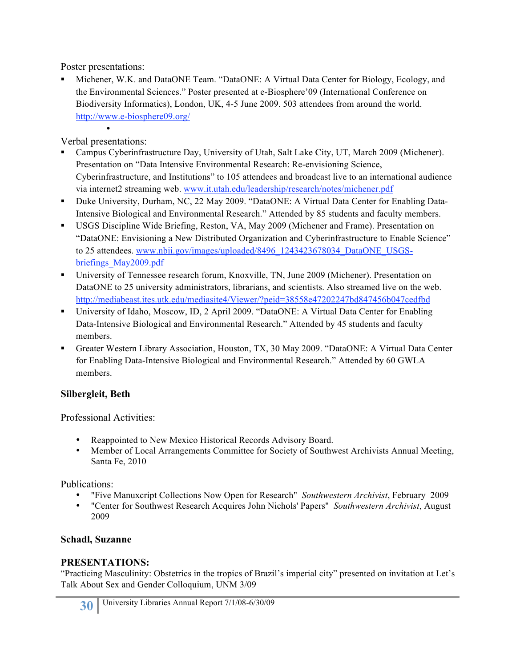Poster presentations:

 Michener, W.K. and DataONE Team. "DataONE: A Virtual Data Center for Biology, Ecology, and the Environmental Sciences." Poster presented at e-Biosphere'09 (International Conference on Biodiversity Informatics), London, UK, 4-5 June 2009. 503 attendees from around the world. http://www.e-biosphere09.org/

• Verbal presentations:

- Campus Cyberinfrastructure Day, University of Utah, Salt Lake City, UT, March 2009 (Michener). Presentation on "Data Intensive Environmental Research: Re-envisioning Science, Cyberinfrastructure, and Institutions" to 105 attendees and broadcast live to an international audience via internet2 streaming web. www.it.utah.edu/leadership/research/notes/michener.pdf
- Duke University, Durham, NC, 22 May 2009. "DataONE: A Virtual Data Center for Enabling Data-Intensive Biological and Environmental Research." Attended by 85 students and faculty members.
- USGS Discipline Wide Briefing, Reston, VA, May 2009 (Michener and Frame). Presentation on "DataONE: Envisioning a New Distributed Organization and Cyberinfrastructure to Enable Science" to 25 attendees. www.nbii.gov/images/uploaded/8496\_1243423678034\_DataONE\_USGSbriefings\_May2009.pdf
- University of Tennessee research forum, Knoxville, TN, June 2009 (Michener). Presentation on DataONE to 25 university administrators, librarians, and scientists. Also streamed live on the web. http://mediabeast.ites.utk.edu/mediasite4/Viewer/?peid=38558e47202247bd847456b047cedfbd
- University of Idaho, Moscow, ID, 2 April 2009. "DataONE: A Virtual Data Center for Enabling Data-Intensive Biological and Environmental Research." Attended by 45 students and faculty members.
- Greater Western Library Association, Houston, TX, 30 May 2009. "DataONE: A Virtual Data Center for Enabling Data-Intensive Biological and Environmental Research." Attended by 60 GWLA members.

# **Silbergleit, Beth**

Professional Activities:

- Reappointed to New Mexico Historical Records Advisory Board.
- Member of Local Arrangements Committee for Society of Southwest Archivists Annual Meeting, Santa Fe, 2010

Publications:

- "Five Manuxcript Collections Now Open for Research" *Southwestern Archivist*, February 2009
- "Center for Southwest Research Acquires John Nichols' Papers" *Southwestern Archivist*, August 2009

# **Schadl, Suzanne**

# **PRESENTATIONS:**

"Practicing Masculinity: Obstetrics in the tropics of Brazil's imperial city" presented on invitation at Let's Talk About Sex and Gender Colloquium, UNM 3/09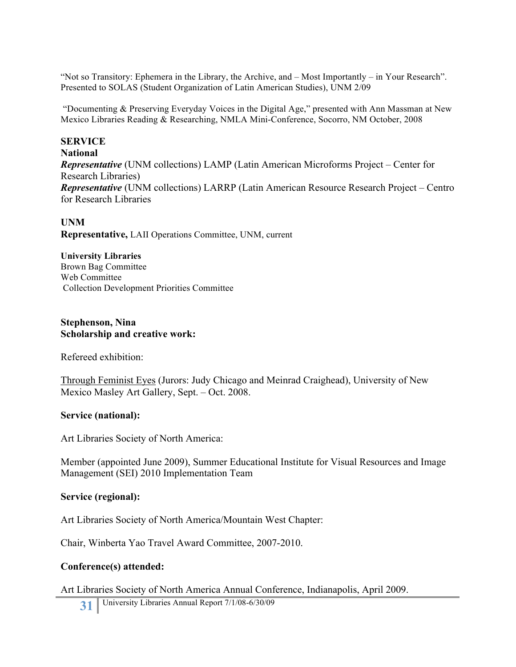"Not so Transitory: Ephemera in the Library, the Archive, and – Most Importantly – in Your Research". Presented to SOLAS (Student Organization of Latin American Studies), UNM 2/09

 "Documenting & Preserving Everyday Voices in the Digital Age," presented with Ann Massman at New Mexico Libraries Reading & Researching, NMLA Mini-Conference, Socorro, NM October, 2008

#### **SERVICE National** *Representative* (UNM collections) LAMP (Latin American Microforms Project – Center for Research Libraries) *Representative* (UNM collections) LARRP (Latin American Resource Research Project – Centro for Research Libraries

**UNM Representative,** LAII Operations Committee, UNM, current

### **University Libraries**

Brown Bag Committee Web Committee Collection Development Priorities Committee

#### **Stephenson, Nina Scholarship and creative work:**

Refereed exhibition:

Through Feminist Eyes (Jurors: Judy Chicago and Meinrad Craighead), University of New Mexico Masley Art Gallery, Sept. – Oct. 2008.

#### **Service (national):**

Art Libraries Society of North America:

Member (appointed June 2009), Summer Educational Institute for Visual Resources and Image Management (SEI) 2010 Implementation Team

#### **Service (regional):**

Art Libraries Society of North America/Mountain West Chapter:

Chair, Winberta Yao Travel Award Committee, 2007-2010.

#### **Conference(s) attended:**

Art Libraries Society of North America Annual Conference, Indianapolis, April 2009.

31 University Libraries Annual Report 7/1/08-6/30/09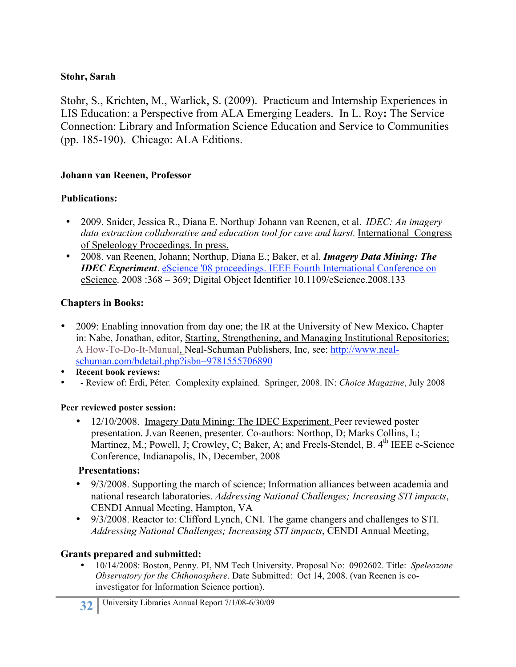# **Stohr, Sarah**

Stohr, S., Krichten, M., Warlick, S. (2009). Practicum and Internship Experiences in LIS Education: a Perspective from ALA Emerging Leaders. In L. Roy**:** The Service Connection: Library and Information Science Education and Service to Communities (pp. 185-190). Chicago: ALA Editions.

### **Johann van Reenen, Professor**

### **Publications:**

- 2009. Snider, Jessica R., Diana E. Northup, Johann van Reenen, et al. *IDEC: An imagery data extraction collaborative and education tool for cave and karst.* International Congress of Speleology Proceedings. In press.
- 2008. van Reenen, Johann; Northup, Diana E.; Baker, et al. *Imagery Data Mining: The IDEC Experiment*. eScience '08 proceedings. IEEE Fourth International Conference on eScience. 2008 :368 – 369; Digital Object Identifier 10.1109/eScience.2008.133

# **Chapters in Books:**

- 2009: Enabling innovation from day one; the IR at the University of New Mexico**.** Chapter in: Nabe, Jonathan, editor, Starting, Strengthening, and Managing Institutional Repositories; A How-To-Do-It-Manual, Neal-Schuman Publishers, Inc, see: http://www.nealschuman.com/bdetail.php?isbn=9781555706890
- **Recent book reviews:**
- - Review of: Érdi, Péter. Complexity explained. Springer, 2008. IN: *Choice Magazine*, July 2008

#### **Peer reviewed poster session:**

• 12/10/2008. Imagery Data Mining: The IDEC Experiment. Peer reviewed poster presentation. J.van Reenen, presenter. Co-authors: Northop, D; Marks Collins, L; Martinez, M.; Powell, J; Crowley, C; Baker, A; and Freels-Stendel, B. 4<sup>th</sup> IEEE e-Science Conference, Indianapolis, IN, December, 2008

# **Presentations:**

- 9/3/2008. Supporting the march of science; Information alliances between academia and national research laboratories. *Addressing National Challenges; Increasing STI impacts*, CENDI Annual Meeting, Hampton, VA
- 9/3/2008. Reactor to: Clifford Lynch, CNI. The game changers and challenges to STI. *Addressing National Challenges; Increasing STI impacts*, CENDI Annual Meeting,

# **Grants prepared and submitted:**

• 10/14/2008: Boston, Penny. PI, NM Tech University. Proposal No: 0902602. Title: *Speleozone Observatory for the Chthonosphere*. Date Submitted: Oct 14, 2008. (van Reenen is coinvestigator for Information Science portion).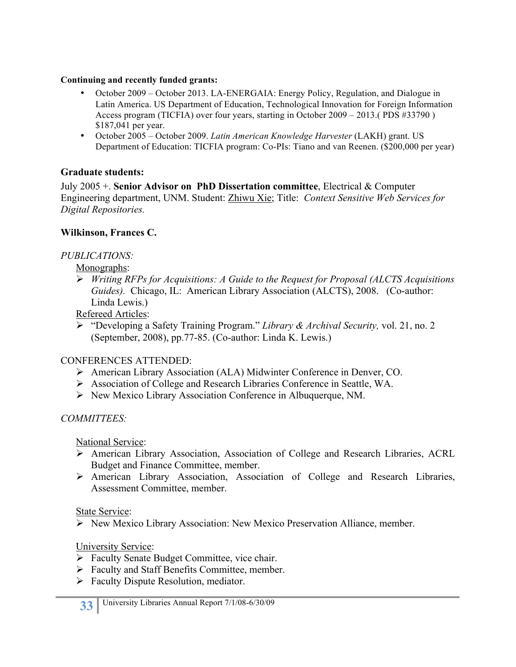#### **Continuing and recently funded grants:**

- October 2009 October 2013. LA-ENERGAIA: Energy Policy, Regulation, and Dialogue in Latin America. US Department of Education, Technological Innovation for Foreign Information Access program (TICFIA) over four years, starting in October 2009 – 2013.( PDS #33790 ) \$187,041 per year.
- October 2005 October 2009. *Latin American Knowledge Harvester* (LAKH) grant. US Department of Education: TICFIA program: Co-PIs: Tiano and van Reenen. (\$200,000 per year)

# **Graduate students:**

July 2005 +. **Senior Advisor on PhD Dissertation committee**, Electrical & Computer Engineering department, UNM. Student: Zhiwu Xie; Title: *Context Sensitive Web Services for Digital Repositories.*

### **Wilkinson, Frances C.**

# *PUBLICATIONS:*

Monographs:

 *Writing RFPs for Acquisitions: A Guide to the Request for Proposal (ALCTS Acquisitions Guides).* Chicago, IL: American Library Association (ALCTS), 2008. (Co-author: Linda Lewis.)

Refereed Articles:

 "Developing a Safety Training Program." *Library & Archival Security,* vol. 21, no. 2 (September, 2008), pp.77-85. (Co-author: Linda K. Lewis.)

# CONFERENCES ATTENDED:

- American Library Association (ALA) Midwinter Conference in Denver, CO.
- Association of College and Research Libraries Conference in Seattle, WA.
- $\triangleright$  New Mexico Library Association Conference in Albuquerque, NM.

# *COMMITTEES:*

National Service:

- American Library Association, Association of College and Research Libraries, ACRL Budget and Finance Committee, member.
- American Library Association, Association of College and Research Libraries, Assessment Committee, member.

State Service:

New Mexico Library Association: New Mexico Preservation Alliance, member.

# University Service:

- $\triangleright$  Faculty Senate Budget Committee, vice chair.
- Faculty and Staff Benefits Committee, member.
- $\triangleright$  Faculty Dispute Resolution, mediator.